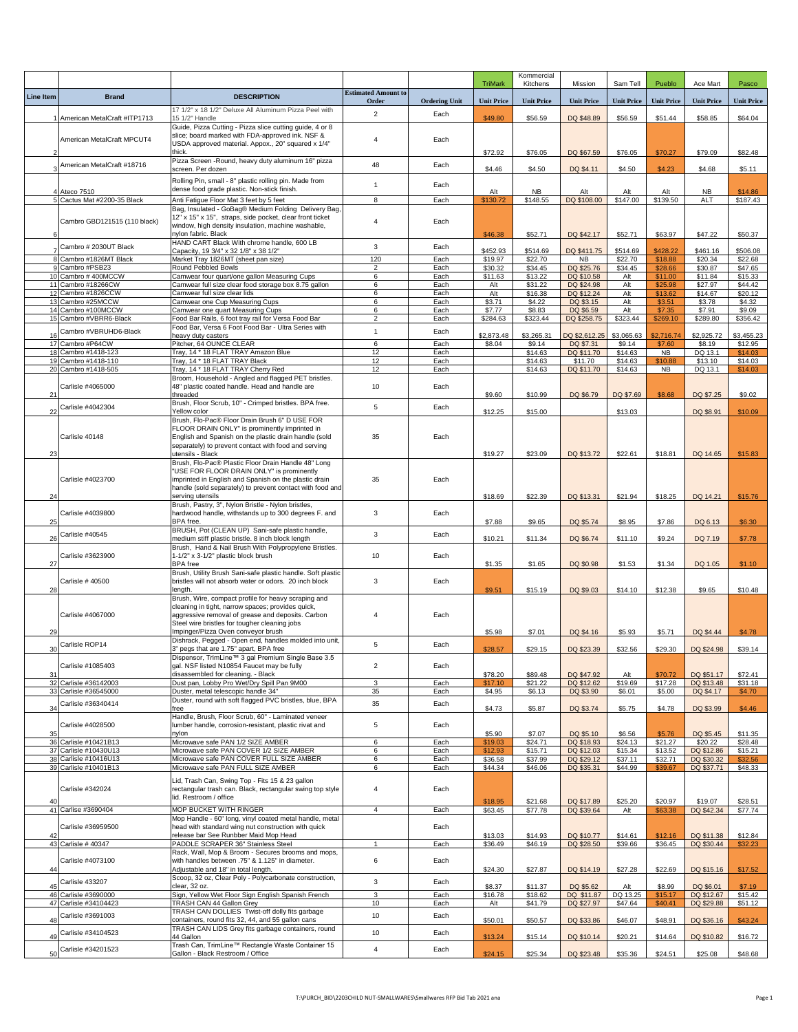|                         |                                                |                                                                                                              |                            |                      |                      | Kommercial           |                            |                     |                      |                          |                    |
|-------------------------|------------------------------------------------|--------------------------------------------------------------------------------------------------------------|----------------------------|----------------------|----------------------|----------------------|----------------------------|---------------------|----------------------|--------------------------|--------------------|
| <b>Line Item</b>        | <b>Brand</b>                                   | <b>DESCRIPTION</b>                                                                                           | <b>Estimated Amount to</b> |                      | <b>TriMark</b>       | Kitchens             | Mission                    | Sam Tell            | Pueblo               | Ace Mart                 | Pasco              |
|                         |                                                | 17 1/2" x 18 1/2" Deluxe All Aluminum Pizza Peel with                                                        | Order                      | <b>Ordering Unit</b> | <b>Unit Price</b>    | <b>Unit Price</b>    | <b>Unit Price</b>          | <b>Unit Price</b>   | <b>Unit Price</b>    | <b>Unit Price</b>        | <b>Unit Price</b>  |
|                         | 1 American MetalCraft #ITP1713                 | 15 1/2" Handle                                                                                               | $\overline{2}$             | Each                 | \$49.80              | \$56.59              | DQ \$48.89                 | \$56.59             | \$51.44              | \$58.85                  | \$64.04            |
|                         | American MetalCraft MPCUT4                     | Guide, Pizza Cutting - Pizza slice cutting guide, 4 or 8<br>slice; board marked with FDA-approved ink. NSF & | $\overline{4}$             | Each                 |                      |                      |                            |                     |                      |                          |                    |
| $\overline{\mathbf{z}}$ |                                                | USDA approved material. Appox., 20" squared x 1/4"<br>thick.                                                 |                            |                      | \$72.92              | \$76.05              | DQ \$67.59                 | \$76.05             | \$70.27              | \$79.09                  | \$82.48            |
|                         | American MetalCraft #18716                     | Pizza Screen - Round, heavy duty aluminum 16" pizza                                                          | 48                         | Each                 |                      |                      |                            |                     |                      |                          |                    |
|                         |                                                | screen. Per dozen<br>Rolling Pin, small - 8" plastic rolling pin. Made from                                  |                            |                      | \$4.46               | \$4.50               | DQ \$4.11                  | \$4.50              | \$4.23               | \$4.68                   | \$5.11             |
|                         | 4 Ateco 7510                                   | dense food grade plastic. Non-stick finish.                                                                  | $\mathbf{1}$               | Each                 | Alt                  | <b>NB</b>            | Alt                        | Alt                 | Alt                  | <b>NB</b>                | \$14.86            |
|                         | 5 Cactus Mat #2200-35 Black                    | Anti Fatigue Floor Mat 3 feet by 5 feet<br>Bag, Insulated - GoBag® Medium Folding Delivery Bag,              | 8                          | Each                 | \$130.72             | \$148.55             | DQ \$108.00                | \$147.00            | \$139.50             | ALT                      | \$187.43           |
|                         | Cambro GBD121515 (110 black)                   | 12" x 15" x 15", straps, side pocket, clear front ticket                                                     | $\overline{4}$             | Each                 |                      |                      |                            |                     |                      |                          |                    |
| 6                       |                                                | window, high density insulation, machine washable,<br>nylon fabric. Black                                    |                            |                      | \$46.38              | \$52.71              | DQ \$42.17                 | \$52.71             | \$63.97              | \$47.22                  | \$50.37            |
| $\overline{7}$          | Cambro # 2030UT Black                          | HAND CART Black With chrome handle, 600 LB<br>Capacity, 19 3/4" x 32 1/8" x 38 1/2"                          | 3                          | Each                 | \$452.93             | \$514.69             | DQ \$411.75                | \$514.69            | \$428.22             | \$461.16                 | \$506.08           |
|                         | 8 Cambro #1826MT Black                         | Market Tray 1826MT (sheet pan size)                                                                          | 120                        | Each                 | \$19.97              | \$22.70              | <b>NB</b>                  | \$22.70             | \$18.88              | \$20.34                  | \$22.68            |
|                         | 9 Cambro #PSB23<br>10 Cambro # 400MCCW         | Round Pebbled Bowls<br>Camwear four quart/one gallon Measuring Cups                                          | $\overline{2}$<br>6        | Each<br>Each         | \$30.32<br>\$11.63   | \$34.45<br>\$13.22   | DQ \$25.76<br>DQ \$10.58   | \$34.45<br>Alt      | \$28.66<br>\$11.00   | \$30.87<br>\$11.84       | \$47.65<br>\$15.33 |
|                         | 11 Cambro #18266CW<br>12 Cambro #1826CCW       | Camwear full size clear food storage box 8.75 gallon<br>Camwear full size clear lids                         | 6<br>6                     | Each<br>Each         | Alt<br>Alt           | \$31.22<br>\$16.38   | DQ \$24.98<br>DQ \$12.24   | Alt<br>Alt          | \$25.98<br>\$13.62   | \$27.97<br>\$14.67       | \$44.42<br>\$20.12 |
|                         | 13 Cambro #25MCCW                              | Camwear one Cup Measuring Cups                                                                               | 6                          | Each                 | $\overline{$3.71}$   | \$4.22               | DQ \$3.15                  | Alt                 | \$3.51               | \$3.78                   | \$4.32             |
|                         | 14 Cambro #100MCCW<br>15 Cambro #VBRR6-Black   | Camwear one quart Measuring Cups<br>Food Bar Rails, 6 foot tray rail for Versa Food Bar                      | 6<br>$\overline{c}$        | Each<br>Each         | \$7.77<br>\$284.63   | \$8.83<br>\$323.44   | DQ \$6.59<br>DQ \$258.75   | Alt<br>\$323.44     | \$7.35<br>\$269.10   | \$7.91<br>\$289.80       | \$9.09<br>\$356.42 |
|                         | Cambro #VBRUHD6-Black                          | Food Bar, Versa 6 Foot Food Bar - Ultra Series with<br>heavy duty casters                                    | $\mathbf{1}$               | Each                 |                      |                      |                            | \$3,065.63          | \$2,716.74           |                          | \$3.455.23         |
| 16                      | 17 Cambro #P64CW                               | Pitcher, 64 OUNCE CLEAR                                                                                      | 6                          | Each                 | \$2,873.48<br>\$8.04 | \$3,265.31<br>\$9.14 | DQ \$2,612.25<br>DQ \$7.31 | \$9.14              | \$7.60               | \$2,925.72<br>\$8.19     | \$12.95            |
|                         | 18 Cambro #1418-123<br>19 Cambro #1418-110     | Tray, 14 * 18 FLAT TRAY Amazon Blue<br>Tray, 14 * 18 FLAT TRAY Black                                         | 12<br>12                   | Each<br>Each         |                      | \$14.63              | DQ \$11.70                 | \$14.63             | NB                   | DQ 13.1<br>\$13.10       | \$14.03<br>\$14.03 |
|                         | 20 Cambro #1418-505                            | Tray, 14 * 18 FLAT TRAY Cherry Red                                                                           | 12                         | Each                 |                      | \$14.63<br>\$14.63   | \$11.70<br>DQ \$11.70      | \$14.63<br>\$14.63  | \$10.88<br><b>NB</b> | DQ 13.1                  | \$14.03            |
|                         | Carlisle #4065000                              | Broom, Household - Angled and flagged PET bristles.<br>48" plastic coated handle. Head and handle are        | 10                         | Each                 |                      |                      |                            |                     |                      |                          |                    |
| 21                      |                                                | threaded                                                                                                     |                            |                      | \$9.60               | \$10.99              | DQ \$6.79                  | DQ \$7.69           | \$8.68               | DQ \$7.25                | \$9.02             |
| 22                      | Carlisle #4042304                              | Brush, Floor Scrub, 10" - Crimped bristles. BPA free.<br>Yellow color                                        | 5                          | Each                 | \$12.25              | \$15.00              |                            | \$13.03             |                      | DQ \$8.91                | \$10.09            |
|                         |                                                | Brush, Flo-Pac® Floor Drain Brush 6" D USE FOR<br>FLOOR DRAIN ONLY" is prominently imprinted in              |                            |                      |                      |                      |                            |                     |                      |                          |                    |
|                         | Carlisle 40148                                 | English and Spanish on the plastic drain handle (sold                                                        | 35                         | Each                 |                      |                      |                            |                     |                      |                          |                    |
| 23                      |                                                | separately) to prevent contact with food and serving<br>utensils - Black                                     |                            |                      | \$19.27              | \$23.09              | DQ \$13.72                 | \$22.61             | \$18.81              | DQ 14.65                 | \$15.83            |
|                         |                                                | Brush, Flo-Pac® Plastic Floor Drain Handle 48" Long                                                          |                            |                      |                      |                      |                            |                     |                      |                          |                    |
|                         | Carlisle #4023700                              | "USE FOR FLOOR DRAIN ONLY" is prominently<br>imprinted in English and Spanish on the plastic drain           | 35                         | Each                 |                      |                      |                            |                     |                      |                          |                    |
| 24                      |                                                | handle (sold separately) to prevent contact with food and<br>serving utensils                                |                            |                      | \$18.69              | \$22.39              | DQ \$13.31                 | \$21.94             | \$18.25              | DQ 14.21                 | \$15.76            |
|                         |                                                | Brush, Pastry, 3", Nylon Bristle - Nylon bristles,                                                           |                            |                      |                      |                      |                            |                     |                      |                          |                    |
| 25                      | Carlisle #4039800                              | hardwood handle, withstands up to 300 degrees F. and<br>BPA free.                                            | 3                          | Each                 | \$7.88               | \$9.65               | DQ \$5.74                  | \$8.95              | \$7.86               | DQ 6.13                  | \$6.30             |
|                         | Carlisle #40545                                | BRUSH, Pot (CLEAN UP) Sani-safe plastic handle,                                                              | 3                          | Each                 |                      |                      |                            |                     |                      |                          |                    |
| 26                      |                                                | medium stiff plastic bristle. 8 inch block length<br>Brush, Hand & Nail Brush With Polypropylene Bristles.   |                            |                      | \$10.21              | \$11.34              | DQ \$6.74                  | \$11.10             | \$9.24               | DQ 7.19                  | \$7.78             |
| 27                      | Carlisle #3623900                              | 1-1/2" x 3-1/2" plastic block brush<br><b>BPA</b> free                                                       | 10                         | Each                 | \$1.35               | \$1.65               | DQ \$0.98                  | \$1.53              | \$1.34               | DQ 1.05                  | \$1.10             |
|                         |                                                | Brush, Utility Brush Sani-safe plastic handle. Soft plastic                                                  |                            |                      |                      |                      |                            |                     |                      |                          |                    |
| 28                      | Carlisle # 40500                               | bristles will not absorb water or odors. 20 inch block<br>length.                                            | 3                          | Each                 | \$9.51               | \$15.19              | DQ \$9.03                  | \$14.10             | \$12.38              | \$9.65                   | \$10.48            |
|                         |                                                | Brush, Wire, compact profile for heavy scraping and                                                          |                            |                      |                      |                      |                            |                     |                      |                          |                    |
|                         | Carlisle #4067000                              | cleaning in tight, narrow spaces; provides quick,<br>aggressive removal of grease and deposits. Carbon       | $\overline{4}$             | Each                 |                      |                      |                            |                     |                      |                          |                    |
| 29                      |                                                | Steel wire bristles for tougher cleaning jobs<br>Impinger/Pizza Oven conveyor brush                          |                            |                      | \$5.98               | \$7.01               | DQ \$4.16                  | \$5.93              | \$5.71               | DQ \$4.44                | \$4.78             |
|                         | Carlisle ROP14                                 | Dishrack, Pegged - Open end, handles molded into unit,                                                       | 5                          | Each                 |                      |                      |                            |                     |                      |                          |                    |
| 30                      |                                                | 3" pegs that are 1.75" apart, BPA free<br>Dispensor, TrimLine™ 3 gal Premium Single Base 3.5                 |                            |                      | \$28.57              | \$29.15              | DQ \$23.39                 | \$32.56             | \$29.30              | DQ \$24.98               | \$39.14            |
| 31                      | Carlisle #1085403                              | gal. NSF listed N10854 Faucet may be fully<br>disassembled for cleaning. - Black                             | $\overline{2}$             | Each                 | \$78.20              | \$89.48              | DQ \$47.92                 | Alt                 | \$70.72              | DQ \$51.17               | \$72.41            |
|                         | 32 Carlisle #36142003                          | Dust pan, Lobby Pro Wet/Dry Spill Pan 9M00                                                                   | 3                          | Each                 | \$17.10              | \$21.22              | DQ \$12.62                 | \$19.69             | \$17.28              | DQ \$13.48               | \$31.18            |
|                         | 33 Carlisle #36545000                          | Duster, metal telescopic handle 34"<br>Duster, round with soft flagged PVC bristles, blue, BPA               | 35                         | Each                 | \$4.95               | \$6.13               | DQ \$3.90                  | \$6.01              | \$5.00               | DQ \$4.17                | \$4.70             |
| 34                      | Carlisle #36340414                             | free                                                                                                         | 35                         | Each                 | \$4.73               | \$5.87               | DQ \$3.74                  | \$5.75              | \$4.78               | DQ \$3.99                | \$4.46             |
|                         | Carlisle #4028500                              | Handle, Brush, Floor Scrub, 60" - Laminated veneer<br>lumber handle, corrosion-resistant, plastic rivat and  | 5                          | Each                 |                      |                      |                            |                     |                      |                          |                    |
| 35                      | 36 Carlisle #10421B13                          | nylon<br>Microwave safe PAN 1/2 SIZE AMBER                                                                   | 6                          | Each                 | \$5.90<br>\$19.03    | \$7.07<br>\$24.71    | DQ \$5.10<br>DQ \$18.93    | \$6.56<br>\$24.13   | \$5.76<br>\$21.27    | DQ \$5.45<br>\$20.22     | \$11.35<br>\$28.48 |
|                         | 37 Carlisle #10430U13                          | Microwave safe PAN COVER 1/2 SIZE AMBER                                                                      | 6                          | Each                 | \$12.93              | \$15.71              | DQ \$12.03                 | \$15.34             | \$13.52              | DQ \$12.86               | \$15.21            |
|                         | 38 Carlisle #10416U13<br>39 Carlisle #10401B13 | Microwave safe PAN COVER FULL SIZE AMBER<br>Microwave safe PAN FULL SIZE AMBER                               | 6<br>6                     | Each<br>Each         | \$36.58<br>\$44.34   | \$37.99<br>\$46.06   | DQ \$29.12<br>DQ \$35.31   | \$37.11<br>\$44.99  | \$32.71<br>\$39.67   | DQ \$30.32<br>DQ \$37.71 | \$32.56<br>\$48.33 |
|                         |                                                | Lid, Trash Can, Swing Top - Fits 15 & 23 gallon                                                              |                            |                      |                      |                      |                            |                     |                      |                          |                    |
|                         | Carlisle #342024                               | rectangular trash can. Black, rectangular swing top style<br>lid. Restroom / office                          | $\overline{4}$             | Each                 |                      |                      |                            |                     |                      |                          |                    |
| 40                      | 41 Carlise #3690404                            | MOP BUCKET WITH RINGER                                                                                       | $\overline{4}$             | Each                 | \$18.95<br>\$63.45   | \$21.68<br>\$77.78   | DQ \$17.89<br>DQ \$39.64   | \$25.20<br>Alt      | \$20.97<br>\$63.38   | \$19.07<br>DQ \$42.34    | \$28.51<br>\$77.74 |
|                         |                                                | Mop Handle - 60" long, vinyl coated metal handle, metal                                                      |                            |                      |                      |                      |                            |                     |                      |                          |                    |
| 42                      | Carlisle #36959500                             | head with standard wing nut construction with quick<br>release bar See Runbber Maid Mop Head                 |                            | Each                 | \$13.03              | \$14.93              | DQ \$10.77                 | \$14.61             | \$12.16              | DQ \$11.38               | \$12.84            |
|                         | 43 Carlisle # 40347                            | PADDLE SCRAPER 36" Stainless Steel<br>Rack, Wall, Mop & Broom - Secures brooms and mops,                     | $\mathbf{1}$               | Each                 | \$36.49              | \$46.19              | DQ \$28.50                 | \$39.66             | \$36.45              | DQ \$30.44               | \$32.23            |
|                         | Carlisle #4073100                              | with handles between .75" & 1.125" in diameter.                                                              | $\,6\,$                    | Each                 |                      |                      |                            |                     |                      |                          |                    |
| 44                      |                                                | Adjustable and 18" in total length.<br>Scoop, 32 oz, Clear Poly - Polycarbonate construction,                |                            |                      | \$24.30              | \$27.87              | DQ \$14.19                 | \$27.28             | \$22.69              | DQ \$15.16               | \$17.52            |
| 45                      | Carlisle 433207                                | clear, 32 oz.                                                                                                | 3                          | Each                 | \$8.37               | \$11.37              | DQ \$5.62                  | Alt                 | \$8.99               | DQ \$6.01                | \$7.19             |
|                         | 46 Carlisle #3690000<br>47 Carlisle #34104423  | Sign, Yellow Wet Floor Sign English Spanish French<br>TRASH CAN 44 Gallon Grey                               | 3<br>10                    | Each<br>Each         | \$16.78<br>Alt       | \$18.62<br>\$41.79   | DQ \$11.87<br>DQ \$27.97   | DQ 13.25<br>\$47.64 | \$15.17<br>\$40.41   | DQ \$12.67<br>DQ \$29.88 | \$15.42<br>\$51.12 |
| 48                      | Carlisle #3691003                              | TRASH CAN DOLLIES Twist-off dolly fits garbage<br>containers, round fits 32, 44, and 55 gallon cans          | 10                         | Each                 | \$50.01              | \$50.57              | DQ \$33.86                 | \$46.07             | \$48.91              | DQ \$36.16               | \$43.24            |
|                         | Carlisle #34104523                             | TRASH CAN LIDS Grey fits garbage containers, round                                                           | 10                         | Each                 |                      |                      |                            |                     |                      |                          |                    |
| 49                      |                                                | 44 Gallon<br>Trash Can, TrimLine™ Rectangle Waste Container 15                                               |                            |                      | \$13.24              | \$15.14              | DQ \$10.14                 | \$20.21             | \$14.64              | DQ \$10.82               | \$16.72            |
| 50                      | Carlisle #34201523                             | Gallon - Black Restroom / Office                                                                             | $\overline{4}$             | Each                 | \$24.15              | \$25.34              | DQ \$23.48                 | \$35.36             | \$24.51              | \$25.08                  | \$48.68            |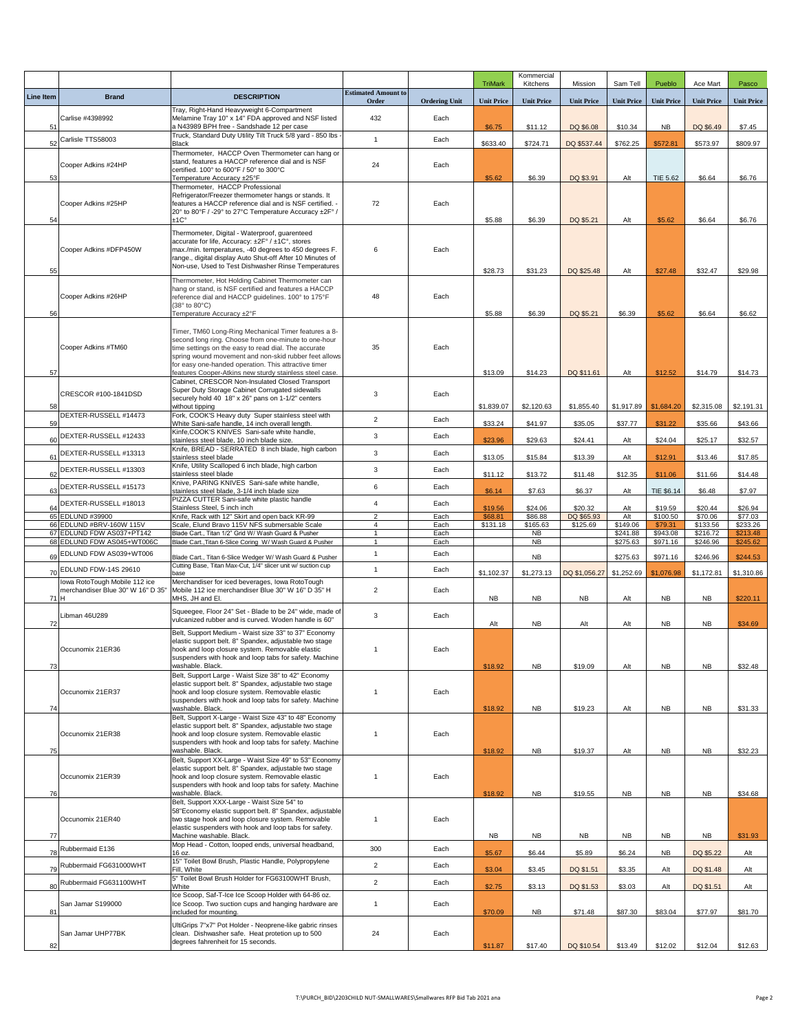|                  |                                                                    |                                                                                                                                                                                                                                                                                                                                                  |                                     |                      | <b>TriMark</b>    | Kommercial<br>Kitchens | Mission           | Sam Tell             | Pueblo              | Ace Mart             | Pasco                |
|------------------|--------------------------------------------------------------------|--------------------------------------------------------------------------------------------------------------------------------------------------------------------------------------------------------------------------------------------------------------------------------------------------------------------------------------------------|-------------------------------------|----------------------|-------------------|------------------------|-------------------|----------------------|---------------------|----------------------|----------------------|
| <b>Line Item</b> | <b>Brand</b>                                                       | <b>DESCRIPTION</b>                                                                                                                                                                                                                                                                                                                               | <b>Estimated Amount to</b><br>Order | <b>Ordering Unit</b> | <b>Unit Price</b> | <b>Unit Price</b>      | <b>Unit Price</b> | <b>Unit Price</b>    | <b>Unit Price</b>   | <b>Unit Price</b>    | <b>Unit Price</b>    |
| 51               | Carlise #4398992                                                   | Tray, Right-Hand Heavyweight 6-Compartment<br>Melamine Tray 10" x 14" FDA approved and NSF listed<br>a N43989 BPH free - Sandshade 12 per case                                                                                                                                                                                                   | 432                                 | Each                 | \$6.75            | \$11.12                | DQ \$6.08         | \$10.34              | <b>NB</b>           | DQ \$6.49            | \$7.45               |
| 52               | Carlisle TTS58003                                                  | Truck, Standard Duty Utility Tilt Truck 5/8 yard - 850 lbs .<br>Black                                                                                                                                                                                                                                                                            | $\mathbf{1}$                        | Each                 | \$633.40          | \$724.71               |                   | \$762.25             | \$572.81            | \$573.97             | \$809.97             |
|                  |                                                                    | Thermometer, HACCP Oven Thermometer can hang or                                                                                                                                                                                                                                                                                                  |                                     |                      |                   |                        | DQ \$537.44       |                      |                     |                      |                      |
| 53               | Cooper Adkins #24HP                                                | stand, features a HACCP reference dial and is NSF<br>certified. 100° to 600°F / 50° to 300°C<br>Temperature Accuracy ±25°F                                                                                                                                                                                                                       | 24                                  | Each                 | \$5.62            | \$6.39                 | DQ \$3.91         | Alt                  | TIE 5.62            | \$6.64               | \$6.76               |
| 54               | Cooper Adkins #25HP                                                | Thermometer, HACCP Professional<br>Refrigerator/Freezer thermometer hangs or stands. It<br>features a HACCP reference dial and is NSF certified. -<br>20° to 80°F / -29° to 27°C Temperature Accuracy ±2F° /<br>±1C°                                                                                                                             | 72                                  | Each                 | \$5.88            | \$6.39                 | DQ \$5.21         | Alt                  | \$5.62              | \$6.64               | \$6.76               |
| 55               | Cooper Adkins #DFP450W                                             | Thermometer, Digital - Waterproof, guarenteed<br>accurate for life, Accuracy: ±2F° / ±1C°, stores<br>max./min. temperatures, -40 degrees to 450 degrees F.<br>range., digital display Auto Shut-off After 10 Minutes of<br>Non-use, Used to Test Dishwasher Rinse Temperatures                                                                   | 6                                   | Each                 | \$28.73           | \$31.23                | DQ \$25.48        | Alt                  | \$27.48             | \$32.47              | \$29.98              |
| 56               | Cooper Adkins #26HP                                                | Thermometer, Hot Holding Cabinet Thermometer can<br>hang or stand, is NSF certified and features a HACCP<br>reference dial and HACCP guidelines. 100° to 175°F<br>(38° to 80°C)<br>Temperature Accuracy ±2°F                                                                                                                                     | 48                                  | Each                 | \$5.88            | \$6.39                 | DQ \$5.21         | \$6.39               | \$5.62              | \$6.64               | \$6.62               |
| 57               | Cooper Adkins #TM60                                                | Timer, TM60 Long-Ring Mechanical Timer features a 8-<br>second long ring. Choose from one-minute to one-hour<br>time settings on the easy to read dial. The accurate<br>spring wound movement and non-skid rubber feet allows<br>for easy one-handed operation. This attractive timer<br>features Cooper-Atkins new sturdy stainless steel case. | 35                                  | Each                 | \$13.09           | \$14.23                | DQ \$11.61        | Alt                  | \$12.52             | \$14.79              | \$14.73              |
| 58               | CRESCOR #100-1841DSD                                               | Cabinet, CRESCOR Non-Insulated Closed Transport<br>Super Duty Storage Cabinet Corrugated sidewalls<br>securely hold 40 18" x 26" pans on 1-1/2" centers<br>without tipping                                                                                                                                                                       | 3                                   | Each                 | \$1,839.07        | \$2,120.63             | \$1,855.40        | \$1,917.89           | \$1,684.20          | \$2,315.08           | \$2,191.31           |
| 59               | DEXTER-RUSSELL #14473                                              | Fork, COOK'S Heavy duty Super stainless steel with<br>White Sani-safe handle, 14 inch overall length.                                                                                                                                                                                                                                            | $\overline{2}$                      | Each                 | \$33.24           | \$41.97                | \$35.05           | \$37.77              | \$31.22             | \$35.66              | \$43.66              |
| 60               | DEXTER-RUSSELL #12433                                              | Kinfe, COOK'S KNIVES Sani-safe white handle,<br>stainless steel blade, 10 inch blade size.                                                                                                                                                                                                                                                       | 3                                   | Each                 | \$23.96           | \$29.63                | \$24.41           | Alt                  | \$24.04             | \$25.17              | \$32.57              |
| 61               | DEXTER-RUSSELL #13313                                              | Knife, BREAD - SERRATED 8 inch blade, high carbon<br>stainless steel blade                                                                                                                                                                                                                                                                       | 3                                   | Each                 | \$13.05           | \$15.84                | \$13.39           | Alt                  | \$12.91             | \$13.46              | \$17.85              |
| 62               | DEXTER-RUSSELL #13303                                              | Knife, Utility Scalloped 6 inch blade, high carbon<br>stainless steel blade                                                                                                                                                                                                                                                                      | 3                                   | Each                 | \$11.12           | \$13.72                | \$11.48           | \$12.35              | \$11.06             | \$11.66              | \$14.48              |
| 63               | DEXTER-RUSSELL #15173                                              | Knive, PARING KNIVES Sani-safe white handle,<br>stainless steel blade, 3-1/4 inch blade size                                                                                                                                                                                                                                                     | 6                                   | Each                 | \$6.14            | \$7.63                 | \$6.37            | Alt                  | TIE \$6.14          | \$6.48               | \$7.97               |
| 64               | DEXTER-RUSSELL #18013                                              | PIZZA CUTTER Sani-safe white plastic handle<br>Stainless Steel, 5 inch inch                                                                                                                                                                                                                                                                      | 4                                   | Each                 | \$19.56           | \$24.06                | \$20.32           | Alt                  | \$19.59             | \$20.44              | \$26.94              |
|                  | 65 EDLUND #39900                                                   | Knife, Rack with 12" Skirt and open back KR-99                                                                                                                                                                                                                                                                                                   | $\overline{2}$                      | Each                 | \$68.81           | \$86.88                | DQ \$65.93        | Alt                  | \$100.50            | \$70.06              | \$77.03              |
|                  | 66 EDLUND #BRV-160W 115V<br>67 EDLUND FDW AS037+PT142              | Scale, Elund Bravo 115V NFS submersable Scale<br>Blade Cart., Titan 1/2" Grid W/ Wash Guard & Pusher                                                                                                                                                                                                                                             | $\overline{4}$<br>1                 | Each<br>Each         | \$131.18          | \$165.63<br><b>NB</b>  | \$125.69          | \$149.06<br>\$241.88 | \$79.31<br>\$943.08 | \$133.56<br>\$216.72 | \$233.26<br>\$213.48 |
|                  | 68 EDLUND FDW AS045+WT006C                                         | Blade Cart., Titan 6-Slice Coring W/ Wash Guard & Pusher                                                                                                                                                                                                                                                                                         | $\mathbf{1}$                        | Each                 |                   | <b>NB</b>              |                   | \$275.63             | \$971.16            | \$246.96             | \$245.62             |
| 69               | EDLUND FDW AS039+WT006                                             | Blade Cart., Titan 6-Slice Wedger W/ Wash Guard & Pusher                                                                                                                                                                                                                                                                                         | $\mathbf{1}$                        | Each                 |                   | <b>NB</b>              |                   | \$275.63             | \$971.16            | \$246.96             | \$244.53             |
|                  | 70 EDLUND FDW-14S 29610                                            | Cutting Base, Titan Max-Cut, 1/4" slicer unit w/ suction cup<br>base                                                                                                                                                                                                                                                                             | $\mathbf{1}$                        | Each                 | \$1,102.37        | \$1,273.13             | DQ \$1,056.27     | \$1,252.69           | \$1,076.98          | \$1,172.81           | \$1,310.86           |
| 71 H             | lowa RotoTough Mobile 112 ice<br>merchandiser Blue 30" W 16" D 35' | Merchandiser for iced beverages, Iowa RotoTough<br>Mobile 112 ice merchandiser Blue 30" W 16" D 35" H<br>MHS, JH and El.                                                                                                                                                                                                                         | $\overline{2}$                      | Each                 | <b>NB</b>         | <b>NB</b>              | NB                | Alt                  | <b>NB</b>           | <b>NB</b>            | \$220.11             |
| 72               | Libman 46U289                                                      | Squeegee, Floor 24" Set - Blade to be 24" wide, made of<br>vulcanized rubber and is curved. Woden handle is 60"                                                                                                                                                                                                                                  | 3                                   | Each                 | Alt               | <b>NB</b>              | Alt               | Alt                  | <b>NB</b>           | <b>NB</b>            | \$34.69              |
| 73               | Occunomix 21ER36                                                   | Belt, Support Medium - Waist size 33" to 37" Economy<br>elastic support belt. 8" Spandex, adjustable two stage<br>hook and loop closure system. Removable elastic<br>suspenders with hook and loop tabs for safety. Machine<br>washable. Black.                                                                                                  | $\overline{1}$                      | Each                 | \$18.92           | <b>NB</b>              | \$19.09           | Alt                  | <b>NB</b>           | <b>NB</b>            | \$32.48              |
| 74               | Occunomix 21ER37                                                   | Belt, Support Large - Waist Size 38" to 42" Economy<br>elastic support belt, 8" Spandex, adiustable two stage<br>hook and loop closure system. Removable elastic<br>suspenders with hook and loop tabs for safety. Machine<br>washable. Black.                                                                                                   | $\mathbf{1}$                        | Each                 | \$18.92           | <b>NB</b>              | \$19.23           | Alt                  | <b>NB</b>           | <b>NB</b>            | \$31.33              |
| 75               | Occunomix 21ER38                                                   | Belt, Support X-Large - Waist Size 43" to 48" Economy<br>elastic support belt. 8" Spandex, adjustable two stage<br>hook and loop closure system. Removable elastic<br>suspenders with hook and loop tabs for safety. Machine<br>washable. Black.                                                                                                 | $\overline{1}$                      | Each                 | \$18.92           | <b>NB</b>              | \$19.37           | Alt                  | <b>NB</b>           | <b>NB</b>            | \$32.23              |
| 76               | Occunomix 21ER39                                                   | Belt, Support XX-Large - Waist Size 49" to 53" Economy<br>elastic support belt. 8" Spandex, adjustable two stage<br>hook and loop closure system. Removable elastic<br>suspenders with hook and loop tabs for safety. Machine<br>washable. Black.                                                                                                | $\overline{1}$                      | Each                 | \$18.92           | <b>NB</b>              | \$19.55           | <b>NB</b>            | <b>NB</b>           | <b>NB</b>            | \$34.68              |
| 77               | Occunomix 21ER40                                                   | Belt, Support XXX-Large - Waist Size 54" to<br>58"Economy elastic support belt. 8" Spandex, adjustable<br>two stage hook and loop closure system. Removable<br>elastic suspenders with hook and loop tabs for safety.<br>Machine washable. Black.                                                                                                | $\mathbf{1}$                        | Each                 | <b>NB</b>         | <b>NB</b>              | <b>NB</b>         | <b>NB</b>            | <b>NB</b>           | <b>NB</b>            | \$31.93              |
| 78               | Rubbermaid E136                                                    | Mop Head - Cotton, looped ends, universal headband,<br>16 oz.                                                                                                                                                                                                                                                                                    | 300                                 | Each                 | \$5.67            | \$6.44                 | \$5.89            | \$6.24               | <b>NB</b>           | DQ \$5.22            | Alt                  |
| 79               | Rubbermaid FG631000WHT                                             | 15" Toilet Bowl Brush, Plastic Handle, Polypropylene<br>Fill, White                                                                                                                                                                                                                                                                              | $\overline{2}$                      | Each                 | \$3.04            | \$3.45                 | DQ \$1.51         | \$3.35               | Alt                 | DQ \$1.48            | Alt                  |
| 80               | Rubbermaid FG631100WHT                                             | 5" Toilet Bowl Brush Holder for FG63100WHT Brush,<br>White                                                                                                                                                                                                                                                                                       | $\overline{2}$                      | Each                 | \$2.75            | \$3.13                 | DQ \$1.53         | \$3.03               | Alt                 | DQ \$1.51            | Alt                  |
| 81               | San Jamar S199000                                                  | Ice Scoop, Saf-T-Ice Ice Scoop Holder with 64-86 oz.<br>Ice Scoop. Two suction cups and hanging hardware are<br>included for mounting.                                                                                                                                                                                                           | $\mathbf{1}$                        | Each                 | \$70.09           | <b>NB</b>              | \$71.48           | \$87.30              | \$83.04             | \$77.97              | \$81.70              |
| 82               | San Jamar UHP77BK                                                  | UltiGrips 7"x7" Pot Holder - Neoprene-like gabric rinses<br>clean. Dishwasher safe. Heat protetion up to 500<br>degrees fahrenheit for 15 seconds.                                                                                                                                                                                               | 24                                  | Each                 | \$11.87           | \$17.40                | DQ \$10.54        | \$13.49              | \$12.02             | \$12.04              | \$12.63              |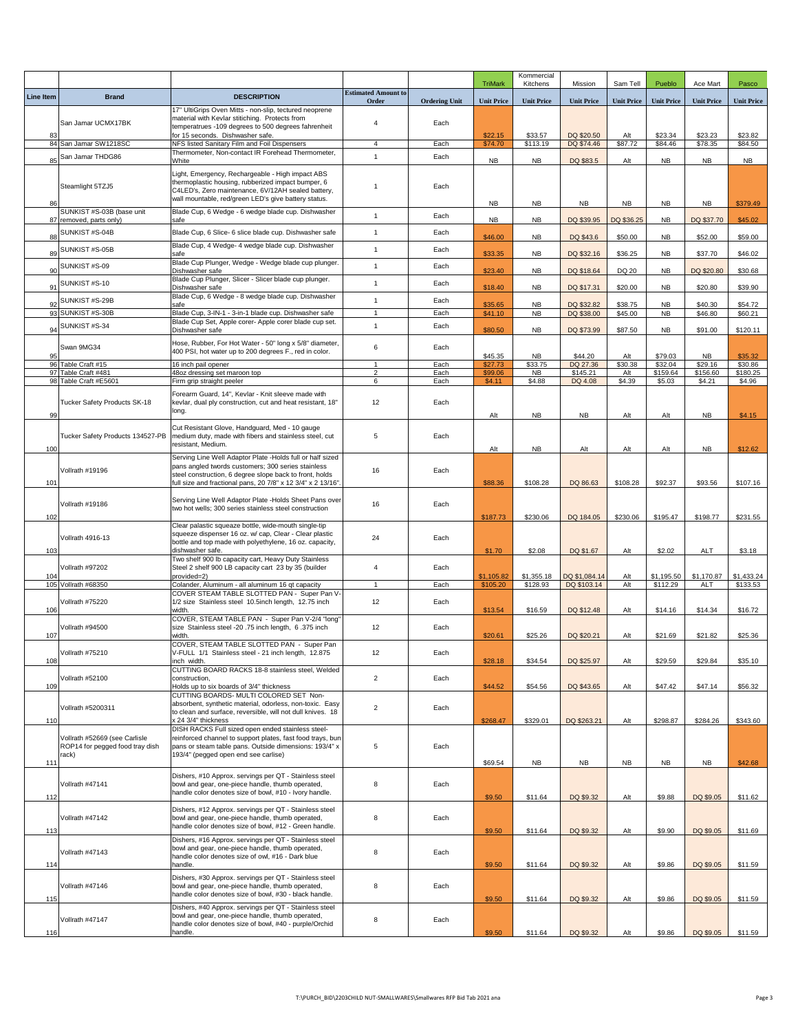|                  |                                           |                                                                                                                        |                                |                      | <b>TriMark</b>     | Kommercial<br>Kitchens | Mission                  | Sam Tell           | Pueblo                 | Ace Mart            | Pasco               |
|------------------|-------------------------------------------|------------------------------------------------------------------------------------------------------------------------|--------------------------------|----------------------|--------------------|------------------------|--------------------------|--------------------|------------------------|---------------------|---------------------|
| <b>Line Item</b> | <b>Brand</b>                              | <b>DESCRIPTION</b>                                                                                                     | <b>Estimated Amount to</b>     |                      |                    |                        |                          |                    |                        |                     |                     |
|                  |                                           | 17" UltiGrips Oven Mitts - non-slip, tectured neoprene                                                                 | Order                          | <b>Ordering Unit</b> | <b>Unit Price</b>  | <b>Unit Price</b>      | <b>Unit Price</b>        | <b>Unit Price</b>  | <b>Unit Price</b>      | <b>Unit Price</b>   | <b>Unit Price</b>   |
|                  | San Jamar UCMX17BK                        | material with Kevlar stitiching. Protects from<br>temperatrues -109 degrees to 500 degrees fahrenheit                  | $\overline{4}$                 | Each                 |                    |                        |                          |                    |                        |                     |                     |
| 83               |                                           | for 15 seconds. Dishwasher safe.                                                                                       |                                |                      | \$22.15            | \$33.57                | DQ \$20.50               | Alt                | \$23.34                | \$23.23             | \$23.82             |
|                  | 84 San Jamar SW1218SC<br>San Jamar THDG86 | NFS listed Sanitary Film and Foil Dispensers<br>Thermometer, Non-contact IR Forehead Thermometer,                      | $\overline{4}$<br>$\mathbf{1}$ | Each<br>Each         | \$74.70            | \$113.19               | DQ \$74.46               | \$87.72            | \$84.46                | \$78.35             | \$84.50             |
| 85               |                                           | White                                                                                                                  |                                |                      | <b>NB</b>          | <b>NB</b>              | DQ \$83.5                | Alt                | <b>NB</b>              | <b>NB</b>           | <b>NB</b>           |
|                  |                                           | Light, Emergency, Rechargeable - High impact ABS<br>thermoplastic housing, rubberized impact bumper, 6                 | $\overline{1}$                 |                      |                    |                        |                          |                    |                        |                     |                     |
|                  | Steamlight 5TZJ5                          | C4LED's, Zero maintenance, 6V/12AH sealed battery,<br>wall mountable, red/green LED's give battery status.             |                                | Each                 |                    |                        |                          |                    |                        |                     |                     |
| 86               | SUNKIST #S-03B (base unit                 | Blade Cup, 6 Wedge - 6 wedge blade cup. Dishwasher                                                                     |                                |                      | <b>NB</b>          | <b>NB</b>              | <b>NB</b>                | <b>NB</b>          | <b>NB</b>              | <b>NB</b>           | \$379.49            |
|                  | 87 removed, parts only)                   | safe                                                                                                                   | $\mathbf{1}$                   | Each                 | <b>NB</b>          | <b>NB</b>              | DQ \$39.95               | DQ \$36.25         | <b>NB</b>              | DQ \$37.70          | \$45.02             |
| 88               | SUNKIST #S-04B                            | Blade Cup, 6 Slice- 6 slice blade cup. Dishwasher safe                                                                 | $\mathbf{1}$                   | Each                 | \$46.00            | <b>NB</b>              | DQ \$43.6                | \$50.00            | <b>NB</b>              | \$52.00             | \$59.00             |
| 89               | SUNKIST #S-05B                            | Blade Cup, 4 Wedge- 4 wedge blade cup. Dishwasher<br>safe                                                              | $\mathbf{1}$                   | Each                 | \$33.35            | <b>NB</b>              | DQ \$32.16               | \$36.25            | <b>NB</b>              | \$37.70             | \$46.02             |
| 90               | SUNKIST #S-09                             | Blade Cup Plunger, Wedge - Wedge blade cup plunger.<br>Dishwasher safe                                                 | $\overline{1}$                 | Each                 | \$23.40            | <b>NB</b>              | DQ \$18.64               | DQ 20              | <b>NB</b>              | DQ \$20.80          | \$30.68             |
| 91               | SUNKIST #S-10                             | Blade Cup Plunger, Slicer - Slicer blade cup plunger.<br>Dishwasher safe                                               | $\mathbf{1}$                   | Each                 | \$18.40            | <b>NB</b>              | DQ \$17.31               | \$20.00            | <b>NB</b>              | \$20.80             | \$39.90             |
|                  | SUNKIST #S-29B                            | Blade Cup, 6 Wedge - 8 wedge blade cup. Dishwasher                                                                     | $\mathbf{1}$                   | Each                 |                    |                        |                          |                    |                        |                     |                     |
| 92               | 93 SUNKIST #S-30B                         | safe<br>Blade Cup, 3-IN-1 - 3-in-1 blade cup. Dishwasher safe                                                          | $\mathbf{1}$                   | Each                 | \$35.65<br>\$41.10 | <b>NB</b><br><b>NB</b> | DQ \$32.82<br>DQ \$38.00 | \$38.75<br>\$45.00 | <b>NB</b><br><b>NB</b> | \$40.30<br>\$46.80  | \$54.72<br>\$60.21  |
| 94               | SUNKIST #S-34                             | Blade Cup Set, Apple corer- Apple corer blade cup set.<br>Dishwasher safe                                              | $\mathbf{1}$                   | Each                 | \$80.50            | <b>NB</b>              | DQ \$73.99               | \$87.50            | <b>NB</b>              | \$91.00             | \$120.11            |
|                  |                                           | Hose, Rubber, For Hot Water - 50" long x 5/8" diameter,                                                                |                                |                      |                    |                        |                          |                    |                        |                     |                     |
| 95               | Swan 9MG34                                | 400 PSI, hot water up to 200 degrees F., red in color.                                                                 | 6                              | Each                 | \$45.35            | <b>NB</b>              | \$44.20                  | Alt                | \$79.03                | <b>NB</b>           | \$35.32             |
|                  | 96 Table Craft #15<br>97 Table Craft #481 | 16 inch pail opener<br>48oz dressing set maroon top                                                                    | $\mathbf{1}$<br>$\overline{2}$ | Each<br>Each         | \$27.73<br>\$99.06 | \$33.75<br><b>NB</b>   | DQ 27.36<br>\$145.21     | \$30.38<br>Alt     | \$32.04<br>\$159.64    | \$29.16<br>\$156.60 | \$30.86<br>\$180.25 |
|                  | 98 Table Craft #E5601                     | Firm grip straight peeler                                                                                              | 6                              | Each                 | \$4.11             | \$4.88                 | DQ 4.08                  | \$4.39             | \$5.03                 | \$4.21              | \$4.96              |
|                  |                                           | Forearm Guard, 14", Kevlar - Knit sleeve made with                                                                     |                                |                      |                    |                        |                          |                    |                        |                     |                     |
| 99               | Tucker Safety Products SK-18              | kevlar, dual ply construction, cut and heat resistant, 18"<br>long.                                                    | 12                             | Each                 | Alt                | <b>NB</b>              | <b>NB</b>                | Alt                | Alt                    | <b>NB</b>           |                     |
|                  |                                           | Cut Resistant Glove, Handguard, Med - 10 gauge                                                                         |                                |                      |                    |                        |                          |                    |                        |                     | \$4.15              |
|                  | Tucker Safety Products 134527-PB          | medium duty, made with fibers and stainless steel, cut                                                                 | 5                              | Each                 |                    |                        |                          |                    |                        |                     |                     |
| 100              |                                           | resistant, Medium.                                                                                                     |                                |                      | Alt                | <b>NB</b>              | Alt                      | Alt                | Alt                    | <b>NB</b>           | \$12.62             |
|                  | Vollrath #19196                           | Serving Line Well Adaptor Plate -Holds full or half sized<br>pans angled twords customers; 300 series stainless        | 16                             | Each                 |                    |                        |                          |                    |                        |                     |                     |
| 101              |                                           | steel construction, 6 degree slope back to front, holds<br>full size and fractional pans, 20 7/8" x 12 3/4" x 2 13/16" |                                |                      | \$88.36            | \$108.28               | DQ 86.63                 | \$108.28           | \$92.37                | \$93.56             | \$107.16            |
|                  |                                           |                                                                                                                        |                                |                      |                    |                        |                          |                    |                        |                     |                     |
|                  | Vollrath #19186                           | Serving Line Well Adaptor Plate -Holds Sheet Pans over<br>two hot wells; 300 series stainless steel construction       | 16                             | Each                 |                    |                        |                          |                    |                        |                     |                     |
| 102              |                                           | Clear palastic squeaze bottle, wide-mouth single-tip                                                                   |                                |                      | \$187.73           | \$230.06               | DQ 184.05                | \$230.06           | \$195.47               | \$198.77            | \$231.55            |
|                  | Vollrath 4916-13                          | squeeze dispenser 16 oz. w/ cap, Clear - Clear plastic                                                                 | 24                             | Each                 |                    |                        |                          |                    |                        |                     |                     |
| 103              |                                           | bottle and top made with polyethylene, 16 oz. capacity,<br>dishwasher safe.                                            |                                |                      | \$1.70             | \$2.08                 | DQ \$1.67                | Alt                | \$2.02                 | ALT                 | \$3.18              |
|                  | Vollrath #97202                           | Two shelf 900 lb capacity cart, Heavy Duty Stainless<br>Steel 2 shelf 900 LB capacity cart 23 by 35 (builder           | $\overline{4}$                 | Each                 |                    |                        |                          |                    |                        |                     |                     |
| 104              |                                           | provided=2)                                                                                                            |                                |                      | \$1,105.82         | \$1,355.18             | DQ \$1,084.14            | Alt                | \$1,195.50             | \$1,170.87          | \$1,433.24          |
|                  | 105 Vollrath #68350                       | Colander, Aluminum - all aluminum 16 qt capacity<br>COVER STEAM TABLE SLOTTED PAN - Super Pan V-                       | 1                              | Each                 | \$105.20           | \$128.93               | DQ \$103.14              | Alt                | \$112.29               | ALT                 | \$133.53            |
| 106              | Vollrath #75220                           | 1/2 size Stainless steel 10.5inch length, 12.75 inch<br>width.                                                         | 12                             | Each                 | \$13.54            | \$16.59                | DQ \$12.48               | Alt                | \$14.16                | \$14.34             | \$16.72             |
|                  |                                           | COVER, STEAM TABLE PAN - Super Pan V-2/4 "long"                                                                        |                                |                      |                    |                        |                          |                    |                        |                     |                     |
| 107              | Vollrath #94500                           | size Stainless steel -20 .75 inch length, 6 .375 inch<br>width.                                                        | 12                             | Each                 | \$20.61            | \$25.26                | DQ \$20.21               | Alt                | \$21.69                | \$21.82             | \$25.36             |
|                  | Vollrath #75210                           | COVER, STEAM TABLE SLOTTED PAN - Super Pan<br>V-FULL 1/1 Stainless steel - 21 inch length, 12.875                      | 12                             | Each                 |                    |                        |                          |                    |                        |                     |                     |
| 108              |                                           | inch width.                                                                                                            |                                |                      | \$28.18            | \$34.54                | DQ \$25.97               | Alt                | \$29.59                | \$29.84             | \$35.10             |
|                  | Vollrath #52100                           | CUTTING BOARD RACKS 18-8 stainless steel, Welded<br>construction,                                                      | $\overline{2}$                 | Each                 |                    |                        |                          |                    |                        |                     |                     |
| 109              |                                           | Holds up to six boards of 3/4" thickness<br>CUTTING BOARDS- MULTI COLORED SET Non-                                     |                                |                      | \$44.52            | \$54.56                | DQ \$43.65               | Alt                | \$47.42                | \$47.14             | \$56.32             |
|                  | Vollrath #5200311                         | absorbent, synthetic material, odorless, non-toxic. Easy                                                               | $\overline{2}$                 | Each                 |                    |                        |                          |                    |                        |                     |                     |
| 110              |                                           | to clean and surface, reversible, will not dull knives. 18<br>x 24 3/4" thickness                                      |                                |                      | \$268.47           | \$329.01               | DQ \$263.21              | Alt                | \$298.87               | \$284.26            | \$343.60            |
|                  | Vollrath #52669 (see Carlisle             | DISH RACKS Full sized open ended stainless steel-<br>reinforced channel to support plates, fast food trays, bun        |                                |                      |                    |                        |                          |                    |                        |                     |                     |
|                  | ROP14 for pegged food tray dish           | pans or steam table pans. Outside dimensions: 193/4" x                                                                 | 5                              | Each                 |                    |                        |                          |                    |                        |                     |                     |
| 111              | rack)                                     | 193/4" (pegged open end see carlise)                                                                                   |                                |                      | \$69.54            | <b>NB</b>              | <b>NB</b>                | <b>NB</b>          | <b>NB</b>              | <b>NB</b>           | \$42.68             |
|                  |                                           | Dishers, #10 Approx. servings per QT - Stainless steel                                                                 |                                |                      |                    |                        |                          |                    |                        |                     |                     |
|                  | Vollrath #47141                           | bowl and gear, one-piece handle, thumb operated,<br>handle color denotes size of bowl, #10 - Ivory handle.             | 8                              | Each                 |                    |                        |                          |                    |                        |                     |                     |
| 112              |                                           | Dishers, #12 Approx. servings per QT - Stainless steel                                                                 |                                |                      | \$9.50             | \$11.64                | DQ \$9.32                | Alt                | \$9.88                 | DQ \$9.05           | \$11.62             |
|                  | Vollrath #47142                           | bowl and gear, one-piece handle, thumb operated,                                                                       | 8                              | Each                 |                    |                        |                          |                    |                        |                     |                     |
| 113              |                                           | handle color denotes size of bowl, #12 - Green handle.                                                                 |                                |                      | \$9.50             | \$11.64                | DQ \$9.32                | Alt                | \$9.90                 | DQ \$9.05           | \$11.69             |
|                  | Vollrath #47143                           | Dishers, #16 Approx. servings per QT - Stainless steel<br>bowl and gear, one-piece handle, thumb operated,             | 8                              | Each                 |                    |                        |                          |                    |                        |                     |                     |
| 114              |                                           | handle color denotes size of owl, #16 - Dark blue<br>handle.                                                           |                                |                      | \$9.50             | \$11.64                | DQ \$9.32                | Alt                | \$9.86                 | DQ \$9.05           | \$11.59             |
|                  |                                           | Dishers, #30 Approx. servings per QT - Stainless steel                                                                 |                                |                      |                    |                        |                          |                    |                        |                     |                     |
|                  | Vollrath #47146                           | bowl and gear, one-piece handle, thumb operated,<br>handle color denotes size of bowl, #30 - black handle.             | 8                              | Each                 |                    |                        |                          |                    |                        |                     |                     |
| 115              |                                           | Dishers, #40 Approx. servings per QT - Stainless steel                                                                 |                                |                      | \$9.50             | \$11.64                | DQ \$9.32                | Alt                | \$9.86                 | DQ \$9.05           | \$11.59             |
|                  | Vollrath #47147                           | bowl and gear, one-piece handle, thumb operated,                                                                       | 8                              | Each                 |                    |                        |                          |                    |                        |                     |                     |
| 116              |                                           | handle color denotes size of bowl, #40 - purple/Orchid<br>handle.                                                      |                                |                      | \$9.50             | \$11.64                | DQ \$9.32                | Alt                | \$9.86                 | DQ \$9.05           | \$11.59             |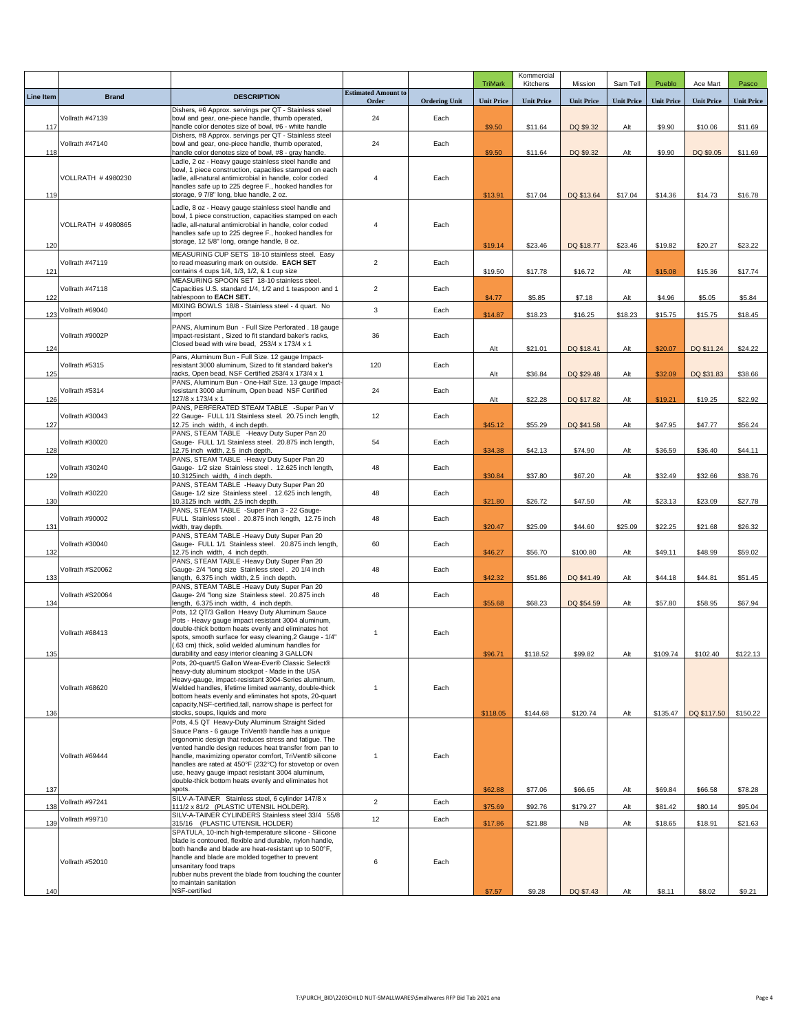|           |                   |                                                                                                                      |                            |                      | <b>TriMark</b>    | Kommercial<br>Kitchens | Mission           | Sam Tell          | Pueblo            | Ace Mart          | Pasco             |
|-----------|-------------------|----------------------------------------------------------------------------------------------------------------------|----------------------------|----------------------|-------------------|------------------------|-------------------|-------------------|-------------------|-------------------|-------------------|
| Line Item | <b>Brand</b>      | <b>DESCRIPTION</b>                                                                                                   | <b>Estimated Amount to</b> |                      |                   |                        |                   |                   |                   |                   |                   |
|           |                   | Dishers, #6 Approx. servings per QT - Stainless steel                                                                | Order                      | <b>Ordering Unit</b> | <b>Unit Price</b> | <b>Unit Price</b>      | <b>Unit Price</b> | <b>Unit Price</b> | <b>Unit Price</b> | <b>Unit Price</b> | <b>Unit Price</b> |
| 117       | Vollrath #47139   | bowl and gear, one-piece handle, thumb operated,<br>handle color denotes size of bowl, #6 - white handle             | 24                         | Each                 | \$9.50            | \$11.64                | DQ \$9.32         | Alt               | \$9.90            | \$10.06           | \$11.69           |
|           | Vollrath #47140   | Dishers, #8 Approx. servings per QT - Stainless steel<br>bowl and gear, one-piece handle, thumb operated,            | 24                         | Each                 |                   |                        |                   |                   |                   |                   |                   |
| 118       |                   | handle color denotes size of bowl, #8 - gray handle.<br>Ladle, 2 oz - Heavy gauge stainless steel handle and         |                            |                      | \$9.50            | \$11.64                | DQ \$9.32         | Alt               | \$9.90            | DQ \$9.05         | \$11.69           |
|           | VOLLRATH #4980230 | bowl, 1 piece construction, capacities stamped on each<br>ladle, all-natural antimicrobial in handle, color coded    | $\overline{4}$             | Each                 |                   |                        |                   |                   |                   |                   |                   |
| 119       |                   | handles safe up to 225 degree F., hooked handles for<br>storage, 9 7/8" long, blue handle, 2 oz.                     |                            |                      | \$13.91           | \$17.04                | DQ \$13.64        | \$17.04           | \$14.36           | \$14.73           | \$16.78           |
|           |                   | Ladle, 8 oz - Heavy gauge stainless steel handle and                                                                 |                            |                      |                   |                        |                   |                   |                   |                   |                   |
|           | VOLLRATH #4980865 | bowl, 1 piece construction, capacities stamped on each<br>ladle, all-natural antimicrobial in handle, color coded    | 4                          | Each                 |                   |                        |                   |                   |                   |                   |                   |
|           |                   | handles safe up to 225 degree F., hooked handles for<br>storage, 12 5/8" long, orange handle, 8 oz.                  |                            |                      |                   |                        |                   |                   |                   |                   |                   |
| 120       |                   | MEASURING CUP SETS 18-10 stainless steel. Easy                                                                       |                            |                      | \$19.14           | \$23.46                | DQ \$18.77        | \$23.46           | \$19.82           | \$20.27           | \$23.22           |
| 121       | Vollrath #47119   | to read measuring mark on outside. EACH SET<br>contains 4 cups 1/4, 1/3, 1/2, & 1 cup size                           | $\overline{c}$             | Each                 | \$19.50           | \$17.78                | \$16.72           | Alt               | \$15.08           | \$15.36           | \$17.74           |
|           | Vollrath #47118   | MEASURING SPOON SET 18-10 stainless steel.<br>Capacities U.S. standard 1/4, 1/2 and 1 teaspoon and 1                 | $\overline{c}$             | Each                 |                   |                        |                   |                   |                   |                   |                   |
| 122       |                   | tablespoon to EACH SET.<br>MIXING BOWLS 18/8 - Stainless steel - 4 quart. No                                         |                            |                      | \$4.77            | \$5.85                 | \$7.18            | Alt               | \$4.96            | \$5.05            | \$5.84            |
| 123       | Vollrath #69040   | Import                                                                                                               | 3                          | Each                 | \$14.87           | \$18.23                | \$16.25           | \$18.23           | \$15.75           | \$15.75           | \$18.45           |
|           | Vollrath #9002P   | PANS, Aluminum Bun - Full Size Perforated, 18 gauge<br>Impact-resistant, Sized to fit standard baker's racks,        | 36                         | Each                 |                   |                        |                   |                   |                   |                   |                   |
| 124       |                   | Closed bead with wire bead, 253/4 x 173/4 x 1                                                                        |                            |                      | Alt               | \$21.01                | DQ \$18.41        | Alt               | \$20.07           | DQ \$11.24        | \$24.22           |
|           | Vollrath #5315    | Pans, Aluminum Bun - Full Size. 12 gauge Impact-<br>resistant 3000 aluminum, Sized to fit standard baker's           | 120                        | Each                 |                   |                        |                   |                   |                   |                   |                   |
| 125       |                   | racks, Open bead, NSF Certified 253/4 x 173/4 x 1<br>PANS, Aluminum Bun - One-Half Size. 13 gauge Impact-            |                            |                      | Alt               | \$36.84                | DQ \$29.48        | Alt               | \$32.09           | DQ \$31.83        | \$38.66           |
| 126       | Vollrath #5314    | resistant 3000 aluminum, Open bead NSF Certified<br>127/8 x 173/4 x 1                                                | 24                         | Each                 | Alt               | \$22.28                | DQ \$17.82        | Alt               | \$19.21           | \$19.25           | \$22.92           |
|           | Vollrath #30043   | PANS, PERFERATED STEAM TABLE -Super Pan V<br>22 Gauge- FULL 1/1 Stainless steel. 20.75 inch length,                  | 12                         | Each                 |                   |                        |                   |                   |                   |                   |                   |
| 127       |                   | 12.75 inch width, 4 inch depth.<br>PANS, STEAM TABLE -Heavy Duty Super Pan 20                                        |                            |                      | \$45.12           | \$55.29                | DQ \$41.58        | Alt               | \$47.95           | \$47.77           | \$56.24           |
| 128       | Vollrath #30020   | Gauge- FULL 1/1 Stainless steel. 20.875 inch length,<br>12.75 inch width, 2.5 inch depth.                            | 54                         | Each                 | \$34.38           | \$42.13                | \$74.90           | Alt               | \$36.59           | \$36.40           | \$44.11           |
|           |                   | PANS, STEAM TABLE -Heavy Duty Super Pan 20                                                                           |                            |                      |                   |                        |                   |                   |                   |                   |                   |
| 129       | Vollrath #30240   | Gauge- 1/2 size Stainless steel . 12.625 inch length,<br>10.3125inch width, 4 inch depth.                            | 48                         | Each                 | \$30.84           | \$37.80                | \$67.20           | Alt               | \$32.49           | \$32.66           | \$38.76           |
|           | Vollrath #30220   | PANS, STEAM TABLE -Heavy Duty Super Pan 20<br>Gauge- 1/2 size Stainless steel . 12.625 inch length,                  | 48                         | Each                 |                   |                        |                   |                   |                   |                   |                   |
| 130       |                   | 10.3125 inch width, 2.5 inch depth.<br>PANS, STEAM TABLE -Super Pan 3 - 22 Gauge-                                    |                            |                      | \$21.80           | \$26.72                | \$47.50           | Alt               | \$23.13           | \$23.09           | \$27.78           |
| 131       | Vollrath #90002   | FULL Stainless steel . 20.875 inch length, 12.75 inch<br>width, tray depth.                                          | 48                         | Each                 | \$20.47           | \$25.09                | \$44.60           | \$25.09           | \$22.25           | \$21.68           | \$26.32           |
|           | Vollrath #30040   | PANS, STEAM TABLE -Heavy Duty Super Pan 20<br>Gauge- FULL 1/1 Stainless steel. 20.875 inch length,                   | 60                         | Each                 |                   |                        |                   |                   |                   |                   |                   |
| 132       |                   | 12.75 inch width, 4 inch depth.<br>PANS, STEAM TABLE -Heavy Duty Super Pan 20                                        |                            |                      | \$46.27           | \$56.70                | \$100.80          | Alt               | \$49.11           | \$48.99           | \$59.02           |
| 133       | Vollrath #S20062  | Gauge- 2/4 "long size Stainless steel . 20 1/4 inch<br>length, 6.375 inch width, 2.5 inch depth.                     | 48                         | Each                 | \$42.32           | \$51.86                | DQ \$41.49        | Alt               | \$44.18           | \$44.81           | \$51.45           |
|           | Vollrath #S20064  | PANS, STEAM TABLE -Heavy Duty Super Pan 20<br>Gauge- 2/4 "long size Stainless steel. 20.875 inch                     | 48                         | Each                 |                   |                        |                   |                   |                   |                   |                   |
| 134       |                   | length, 6.375 inch width, 4 inch depth.<br>Pots, 12 QT/3 Gallon Heavy Duty Aluminum Sauce                            |                            |                      | \$55.68           | \$68.23                | DQ \$54.59        | Alt               | \$57.80           | \$58.95           | \$67.94           |
|           |                   | Pots - Heavy gauge impact resistant 3004 aluminum,                                                                   |                            |                      |                   |                        |                   |                   |                   |                   |                   |
|           | Vollrath #68413   | double-thick bottom heats evenly and eliminates hot<br>spots, smooth surface for easy cleaning, 2 Gauge - 1/4"       | $\mathbf{1}$               | Each                 |                   |                        |                   |                   |                   |                   |                   |
| 135       |                   | (.63 cm) thick, solid welded aluminum handles for<br>durability and easy interior cleaning 3 GALLON                  |                            |                      | \$96.71           | \$118.52               | \$99.82           | Alt               | \$109.74          | \$102.40          | \$122.13          |
|           |                   | Pots, 20-quart/5 Gallon Wear-Ever® Classic Select®<br>heavy-duty aluminum stockpot - Made in the USA                 |                            |                      |                   |                        |                   |                   |                   |                   |                   |
|           | Vollrath #68620   | Heavy-gauge, impact-resistant 3004-Series aluminum,<br>Welded handles, lifetime limited warranty, double-thick       | $\overline{1}$             | Each                 |                   |                        |                   |                   |                   |                   |                   |
|           |                   | bottom heats evenly and eliminates hot spots, 20-quart<br>capacity, NSF-certified, tall, narrow shape is perfect for |                            |                      |                   |                        |                   |                   |                   |                   |                   |
| 136       |                   | stocks, soups, liquids and more<br>Pots, 4.5 QT Heavy-Duty Aluminum Straight Sided                                   |                            |                      | \$118.05          | \$144.68               | \$120.74          | Alt               | \$135.47          | DQ \$117.50       | \$150.22          |
|           |                   | Sauce Pans - 6 gauge TriVent® handle has a unique<br>ergonomic design that reduces stress and fatigue. The           |                            |                      |                   |                        |                   |                   |                   |                   |                   |
|           | Vollrath #69444   | vented handle design reduces heat transfer from pan to<br>handle, maximizing operator comfort, TriVent® silicone     | $\mathbf{1}$               | Each                 |                   |                        |                   |                   |                   |                   |                   |
|           |                   | handles are rated at 450°F (232°C) for stovetop or oven<br>use, heavy gauge impact resistant 3004 aluminum,          |                            |                      |                   |                        |                   |                   |                   |                   |                   |
|           |                   | double-thick bottom heats evenly and eliminates hot<br>spots.                                                        |                            |                      |                   |                        |                   |                   |                   |                   |                   |
| 137       | Vollrath #97241   | SILV-A-TAINER Stainless steel, 6 cylinder 147/8 x                                                                    | $\overline{2}$             | Each                 | \$62.88           | \$77.06                | \$66.65           | Alt               | \$69.84           | \$66.58           | \$78.28           |
| 138       | Vollrath #99710   | 111/2 x 81/2 (PLASTIC UTENSIL HOLDER)<br>SILV-A-TAINER CYLINDERS Stainless steel 33/4 55/8                           | 12                         | Each                 | \$75.69           | \$92.76                | \$179.27          | Alt               | \$81.42           | \$80.14           | \$95.04           |
| 139       |                   | 315/16 (PLASTIC UTENSIL HOLDER)<br>SPATULA, 10-inch high-temperature silicone - Silicone                             |                            |                      | \$17.86           | \$21.88                | NB                | Alt               | \$18.65           | \$18.91           | \$21.63           |
|           |                   | blade is contoured, flexible and durable, nylon handle,<br>both handle and blade are heat-resistant up to 500°F,     |                            |                      |                   |                        |                   |                   |                   |                   |                   |
|           | Vollrath #52010   | handle and blade are molded together to prevent<br>unsanitary food traps                                             | 6                          | Each                 |                   |                        |                   |                   |                   |                   |                   |
|           |                   | rubber nubs prevent the blade from touching the counter<br>to maintain sanitation                                    |                            |                      |                   |                        |                   |                   |                   |                   |                   |
| 140       |                   | NSF-certified                                                                                                        |                            |                      | \$7.57            | \$9.28                 | DQ \$7.43         | Alt               | \$8.11            | \$8.02            | \$9.21            |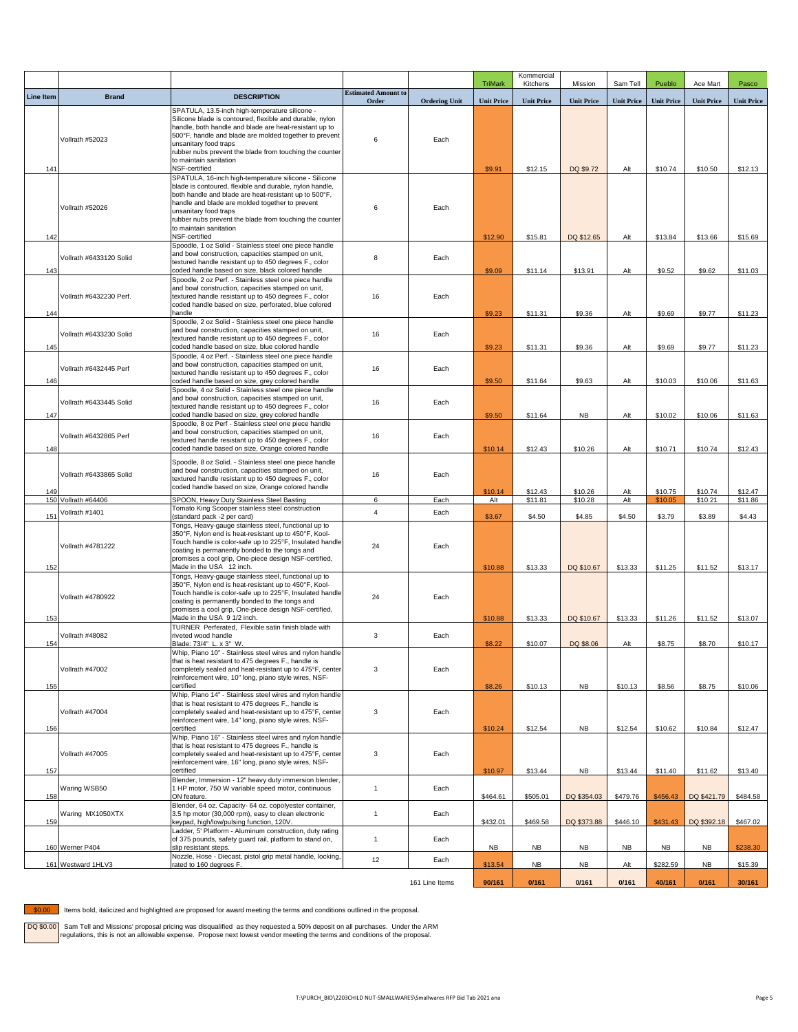|                  |                         |                                                                                                                                                                                                                                                                                                                                                               |                                     |                        | <b>TriMark</b>    | Kommercial<br>Kitchens | Mission                 | Sam Tell          | Pueblo             | Ace Mart           | Pasco              |
|------------------|-------------------------|---------------------------------------------------------------------------------------------------------------------------------------------------------------------------------------------------------------------------------------------------------------------------------------------------------------------------------------------------------------|-------------------------------------|------------------------|-------------------|------------------------|-------------------------|-------------------|--------------------|--------------------|--------------------|
| <b>Line Item</b> | <b>Brand</b>            | <b>DESCRIPTION</b>                                                                                                                                                                                                                                                                                                                                            | <b>Estimated Amount to</b><br>Order | <b>Ordering Unit</b>   | <b>Unit Price</b> | <b>Unit Price</b>      | <b>Unit Price</b>       | <b>Unit Price</b> | <b>Unit Price</b>  | <b>Unit Price</b>  | <b>Unit Price</b>  |
| 141              | Vollrath #52023         | SPATULA, 13.5-inch high-temperature silicone -<br>Silicone blade is contoured, flexible and durable, nylon<br>handle, both handle and blade are heat-resistant up to<br>500°F, handle and blade are molded together to prevent<br>unsanitary food traps<br>rubber nubs prevent the blade from touching the counter<br>to maintain sanitation<br>NSF-certified | 6                                   | Each                   | \$9.91            | \$12.15                | DQ \$9.72               | Alt               | \$10.74            | \$10.50            | \$12.13            |
| 142              | Vollrath #52026         | SPATULA, 16-inch high-temperature silicone - Silicone<br>blade is contoured, flexible and durable, nylon handle,<br>both handle and blade are heat-resistant up to 500°F,<br>handle and blade are molded together to prevent<br>unsanitary food traps<br>rubber nubs prevent the blade from touching the counter<br>to maintain sanitation<br>NSF-certified   | 6                                   | Each                   | \$12.90           | \$15.81                | DQ \$12.65              | Alt               | \$13.84            | \$13.66            | \$15.69            |
| 143              | Vollrath #6433120 Solid | Spoodle, 1 oz Solid - Stainless steel one piece handle<br>and bowl construction, capacities stamped on unit,<br>textured handle resistant up to 450 degrees F., color<br>coded handle based on size, black colored handle                                                                                                                                     | 8                                   | Each                   | \$9.09            | \$11.14                | \$13.91                 | Alt               | \$9.52             | \$9.62             | \$11.03            |
| 144              | Vollrath #6432230 Perf. | Spoodle, 2 oz Perf. - Stainless steel one piece handle<br>and bowl construction, capacities stamped on unit,<br>textured handle resistant up to 450 degrees F., color<br>coded handle based on size, perforated, blue colored<br>handle                                                                                                                       | 16                                  | Each                   | \$9.23            | \$11.31                | \$9.36                  | Alt               | \$9.69             | \$9.77             | \$11.23            |
| 145              | Vollrath #6433230 Solid | Spoodle, 2 oz Solid - Stainless steel one piece handle<br>and bowl construction, capacities stamped on unit,<br>textured handle resistant up to 450 degrees F., color<br>coded handle based on size, blue colored handle                                                                                                                                      | 16                                  | Each                   | \$9.23            | \$11.31                | \$9.36                  | Alt               | \$9.69             | \$9.77             | \$11.23            |
| 146              | Vollrath #6432445 Perf  | Spoodle, 4 oz Perf. - Stainless steel one piece handle<br>and bowl construction, capacities stamped on unit,<br>textured handle resistant up to 450 degrees F., color<br>coded handle based on size, grey colored handle                                                                                                                                      | 16                                  | Each                   | \$9.50            | \$11.64                | \$9.63                  | Alt               | \$10.03            | \$10.06            | \$11.63            |
| 147              | Vollrath #6433445 Solid | Spoodle, 4 oz Solid - Stainless steel one piece handle<br>and bowl construction, capacities stamped on unit,<br>textured handle resistant up to 450 degrees F., color<br>coded handle based on size, grey colored handle                                                                                                                                      | 16                                  | Each                   | \$9.50            | \$11.64                | <b>NB</b>               | Alt               | \$10.02            | \$10.06            | \$11.63            |
| 148              | Vollrath #6432865 Perf  | Spoodle, 8 oz Perf - Stainless steel one piece handle<br>and bowl construction, capacities stamped on unit,<br>textured handle resistant up to 450 degrees F., color<br>coded handle based on size, Orange colored handle                                                                                                                                     | 16                                  | Each                   | \$10.14           | \$12.43                | \$10.26                 | Alt               | \$10.71            | \$10.74            | \$12.43            |
| 149              | Vollrath #6433865 Solid | Spoodle, 8 oz Solid. - Stainless steel one piece handle<br>and bowl construction, capacities stamped on unit,<br>textured handle resistant up to 450 degrees F., color<br>coded handle based on size, Orange colored handle                                                                                                                                   | 16                                  | Each                   | \$10.14           | \$12.43                | \$10.26                 | Alt               | \$10.75            | \$10.74            | \$12.47            |
|                  | 150 Vollrath #64406     | SPOON, Heavy Duty Stainless Steel Basting                                                                                                                                                                                                                                                                                                                     | 6                                   | Each                   | Alt               | \$11.81                | \$10.28                 | Alt               | \$10.05            | \$10.21            | \$11.86            |
| 151              | Vollrath #1401          | Tomato King Scooper stainless steel construction<br>(standard pack -2 per card)                                                                                                                                                                                                                                                                               | $\overline{4}$                      | Each                   | \$3.67            | \$4.50                 | \$4.85                  | \$4.50            | \$3.79             | \$3.89             | \$4.43             |
| 152              | Vollrath #4781222       | Tongs, Heavy-gauge stainless steel, functional up to<br>350°F, Nylon end is heat-resistant up to 450°F, Kool-<br>Touch handle is color-safe up to 225°F, Insulated handle<br>coating is permanently bonded to the tongs and<br>promises a cool grip, One-piece design NSF-certified,<br>Made in the USA 12 inch.                                              | 24                                  | Each                   | \$10.88           | \$13.33                | DQ \$10.67              | \$13.33           | \$11.25            | \$11.52            | \$13.17            |
| 153              | Vollrath #4780922       | Tongs, Heavy-gauge stainless steel, functional up to<br>350°F, Nylon end is heat-resistant up to 450°F, Kool-<br>Touch handle is color-safe up to 225°F, Insulated handle<br>coating is permanently bonded to the tongs and<br>promises a cool grip, One-piece design NSF-certified,<br>Made in the USA 9 1/2 inch.                                           | 24                                  | Each                   |                   |                        |                         |                   | \$11.26            | \$11.52            |                    |
| 154              | Vollrath #48082         | TURNER Perferated. Flexible satin finish blade with<br>riveted wood handle<br>Blade: 73/4" L. x 3" W.                                                                                                                                                                                                                                                         | 3                                   | Each                   | \$10.88<br>\$8.22 | \$13.33<br>\$10.07     | DQ \$10.67<br>DQ \$8.06 | \$13.33<br>Alt    | \$8.75             | \$8.70             | \$13.07<br>\$10.17 |
| 155              | Vollrath #47002         | Whip, Piano 10" - Stainless steel wires and nylon handle<br>that is heat resistant to 475 degrees F., handle is<br>completely sealed and heat-resistant up to 475°F, center<br>reinforcement wire, 10" long, piano style wires, NSF-<br>certified                                                                                                             | 3                                   | Each                   | \$8.26            | \$10.13                | <b>NB</b>               | \$10.13           | \$8.56             | \$8.75             | \$10.06            |
| 156              | Vollrath #47004         | Whip, Piano 14" - Stainless steel wires and nylon handle<br>that is heat resistant to 475 degrees F., handle is<br>completely sealed and heat-resistant up to 475°F, center<br>reinforcement wire, 14" long, piano style wires, NSF-<br>certified                                                                                                             | $\mathbf 3$                         | Each                   | \$10.24           | \$12.54                | <b>NB</b>               | \$12.54           | \$10.62            | \$10.84            | \$12.47            |
| 157              | Vollrath #47005         | Whip, Piano 16" - Stainless steel wires and nylon handle<br>that is heat resistant to 475 degrees F., handle is<br>completely sealed and heat-resistant up to 475°F, center<br>reinforcement wire, 16" long, piano style wires, NSF-<br>certified                                                                                                             | $\mathbf{3}$                        | Each                   | \$10.97           | \$13.44                | <b>NB</b>               | \$13.44           | \$11.40            | \$11.62            | \$13.40            |
| 158              | Waring WSB50            | Blender, Immersion - 12" heavy duty immersion blender,<br>1 HP motor, 750 W variable speed motor, continuous<br>ON feature.                                                                                                                                                                                                                                   | $\mathbf{1}$                        | Each                   | \$464.61          | \$505.01               | DQ \$354.03             | \$479.76          | \$456.43           | DQ \$421.79        | \$484.58           |
| 159              | Waring MX1050XTX        | Blender, 64 oz. Capacity- 64 oz. copolyester container,<br>3.5 hp motor (30,000 rpm), easy to clean electronic<br>keypad, high/low/pulsing function, 120V.                                                                                                                                                                                                    | $\mathbf{1}$                        | Each                   | \$432.01          | \$469.58               | DQ \$373.88             | \$446.10          | \$431.43           | DQ \$392.18        | \$467.02           |
|                  | 160 Werner P404         | Ladder, 5' Platform - Aluminum construction, duty rating<br>of 375 pounds, safety guard rail, platform to stand on,<br>slip resistant steps.<br>Nozzle, Hose - Diecast, pistol grip metal handle, locking,                                                                                                                                                    | $\mathbf{1}$                        | Each                   | NB                | NB                     | <b>NB</b>               | <b>NB</b>         | <b>NB</b>          | <b>NB</b>          | \$238.30           |
|                  | 161 Westward 1HLV3      | rated to 160 degrees F.                                                                                                                                                                                                                                                                                                                                       | 12                                  | Each<br>161 Line Items | \$13.54<br>90/161 | <b>NB</b><br>0/161     | <b>NB</b><br>0/161      | Alt<br>0/161      | \$282.59<br>40/161 | <b>NB</b><br>0/161 | \$15.39<br>30/161  |

\$0.00 Items bold, italicized and highlighted are proposed for award meeting the terms and conditions outlined in the proposal.

DQ \$0.00 Sam Tell and Missions' proposal pricing was disqualified as they requested a 50% deposit on all purchases. Under the ARM<br>regulations, this is not an allowable expense. Propose next lowest vendor meeting the terms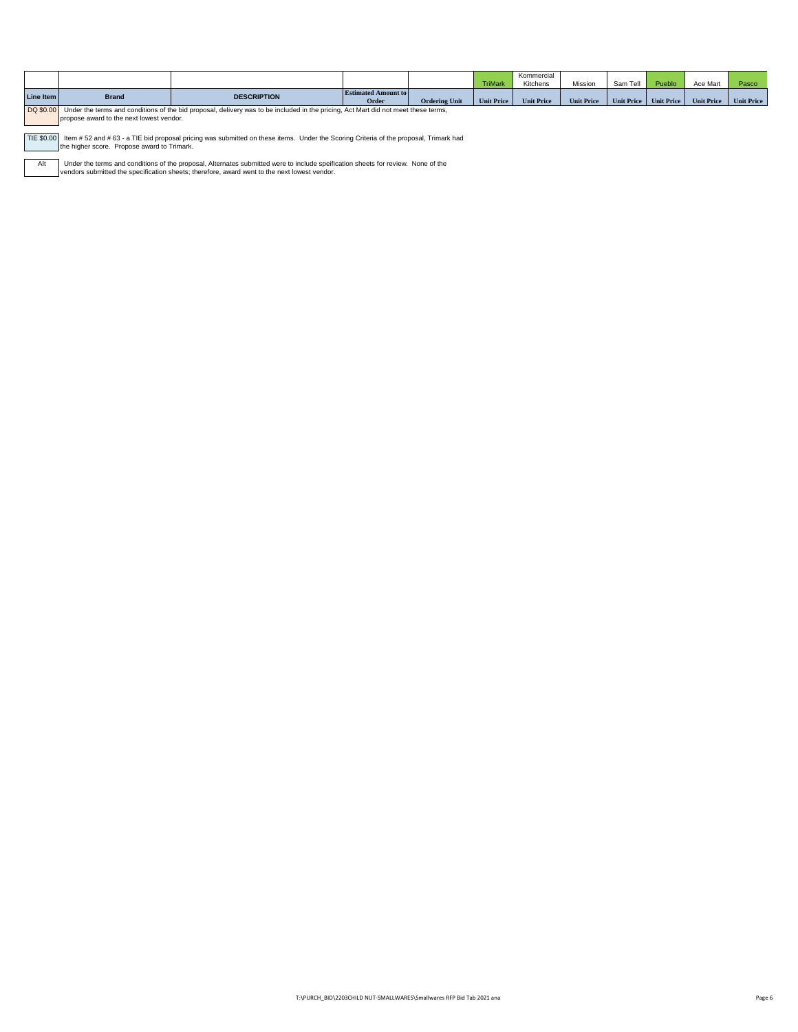|             |              |                                                                                                                                   |                                     |                      | <b>TriMark</b>    | Kommercial<br>Kitchens | Mission           | Sam Tell          | Pueblo            | Ace Mart          | Pasco             |
|-------------|--------------|-----------------------------------------------------------------------------------------------------------------------------------|-------------------------------------|----------------------|-------------------|------------------------|-------------------|-------------------|-------------------|-------------------|-------------------|
| Line Item   | <b>Brand</b> | <b>DESCRIPTION</b>                                                                                                                | <b>Estimated Amount to</b><br>Order | <b>Ordering Unit</b> | <b>Unit Price</b> | <b>Unit Price</b>      | <b>Unit Price</b> | <b>Unit Price</b> | <b>Unit Price</b> | <b>Unit Price</b> | <b>Unit Price</b> |
| DO \$0.00 L |              | Linder the terms and conditions of the bid proposal delivery was to be included in the pricing. Act Mart did not meet these terms |                                     |                      |                   |                        |                   |                   |                   |                   |                   |

 $\sim$ Under the terms and conditions of the bid proposal, delivery was to be included in the pricing, Act Mart did not meet these terms, propose award to the next lowest vendor.

TIE \$0.00 | Item # 52 and # 63 - a TIE bid proposal pricing was submitted on these items. Under the Scoring Criteria of the proposal, Trimark had<br>| the higher score. Propose award to Trimark.

Alt Under the terms and conditions of the proposal, Alternates submitted were to include speification sheets for review. None of the<br>vendors submitted the specification sheets; therefore, award went to the next lowest vendor.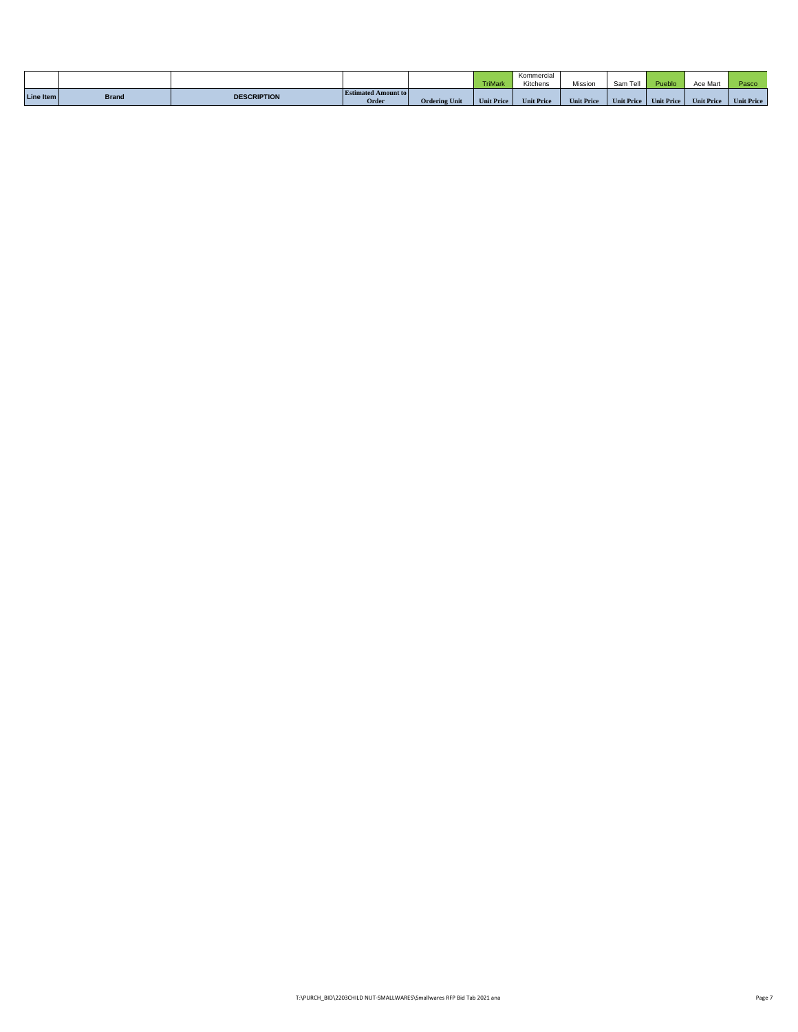|           |              |                    |                                     |                      | <b>TriMark</b>    | Kommercial<br>Kitchens | Mission           | Sam Tell          | Pueblo            | Ace Mart          | Pasco.            |
|-----------|--------------|--------------------|-------------------------------------|----------------------|-------------------|------------------------|-------------------|-------------------|-------------------|-------------------|-------------------|
| Line Item | <b>Brand</b> | <b>DESCRIPTION</b> | <b>Estimated Amount to</b><br>Order | <b>Ordering Unit</b> | <b>Unit Price</b> | <b>Unit Price</b>      | <b>Unit Price</b> | <b>Unit Price</b> | <b>Unit Price</b> | <b>Unit Price</b> | <b>Unit Price</b> |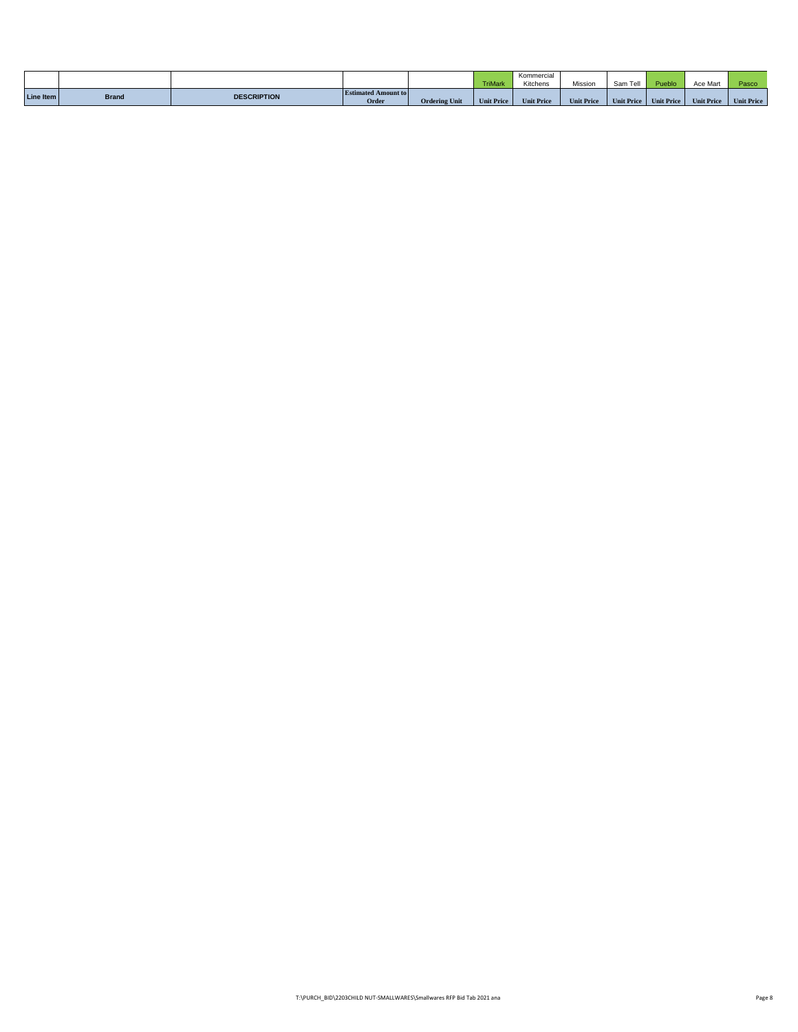|           |              |                    |                                     |                      | <b>TriMark</b>    | Kommercial<br>Kitchens | Mission           | Sam Tell          | Pueblo            | Ace Mart          | Pasco.            |
|-----------|--------------|--------------------|-------------------------------------|----------------------|-------------------|------------------------|-------------------|-------------------|-------------------|-------------------|-------------------|
| Line Item | <b>Brand</b> | <b>DESCRIPTION</b> | <b>Estimated Amount to</b><br>Order | <b>Ordering Unit</b> | <b>Unit Price</b> | <b>Unit Price</b>      | <b>Unit Price</b> | <b>Unit Price</b> | <b>Unit Price</b> | <b>Unit Price</b> | <b>Unit Price</b> |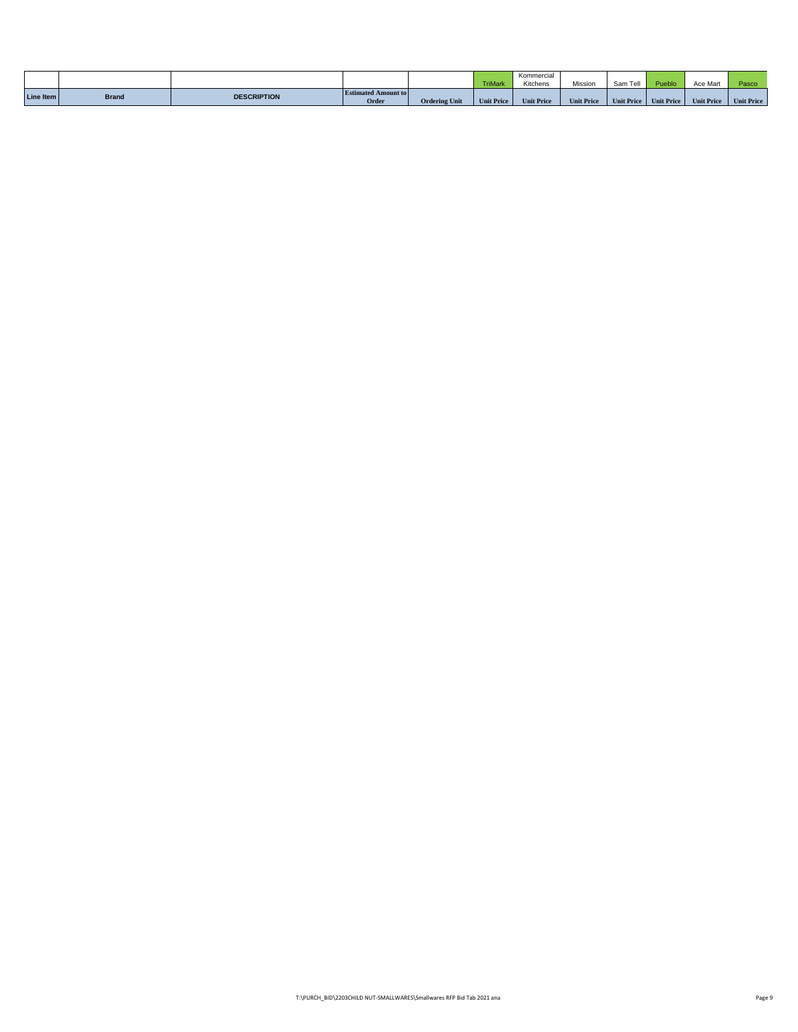|           |              |                    |                                     |                      | <b>TriMark</b>    | Kommercial<br>Kitchens | Mission           | Sam Tell          | Pueblo            | Ace Mart          | Pasco.            |
|-----------|--------------|--------------------|-------------------------------------|----------------------|-------------------|------------------------|-------------------|-------------------|-------------------|-------------------|-------------------|
| Line Item | <b>Brand</b> | <b>DESCRIPTION</b> | <b>Estimated Amount to</b><br>Order | <b>Ordering Unit</b> | <b>Unit Price</b> | <b>Unit Price</b>      | <b>Unit Price</b> | <b>Unit Price</b> | <b>Unit Price</b> | <b>Unit Price</b> | <b>Unit Price</b> |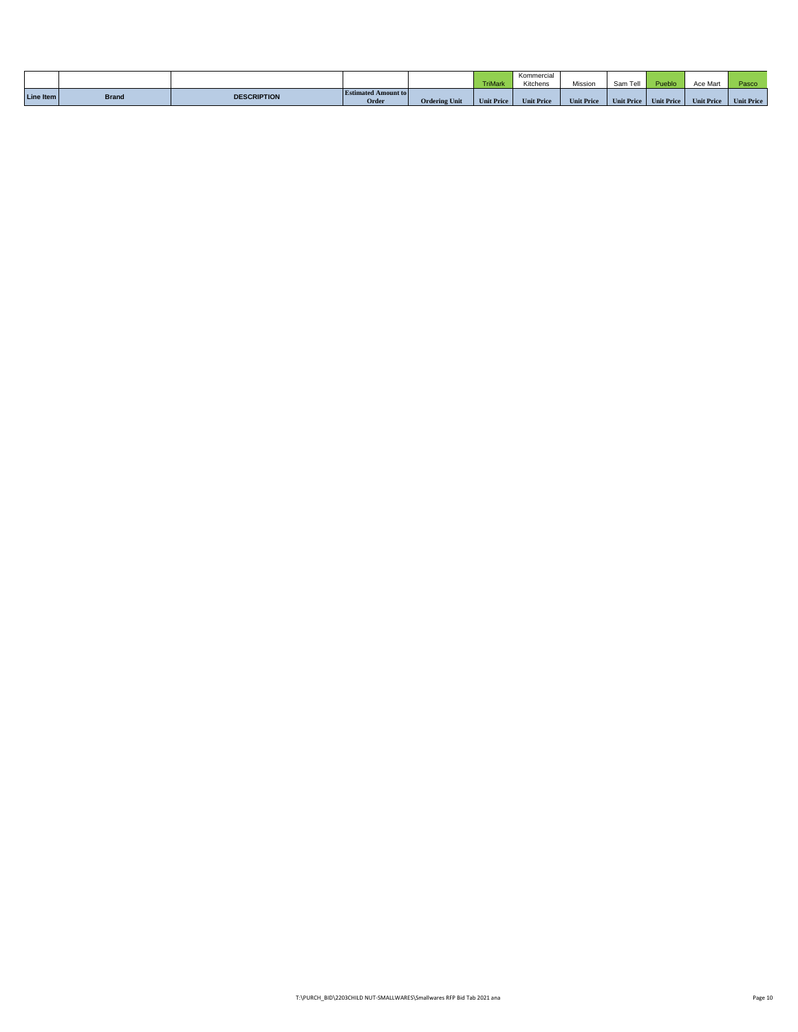|           |              |                    |                                     |                      | <b>TriMark</b>    | Kommercial<br>Kitchens | Mission           | Sam Tell          | Pueblo            | Ace Mart          | Pasco.            |
|-----------|--------------|--------------------|-------------------------------------|----------------------|-------------------|------------------------|-------------------|-------------------|-------------------|-------------------|-------------------|
| Line Item | <b>Brand</b> | <b>DESCRIPTION</b> | <b>Estimated Amount to</b><br>Order | <b>Ordering Unit</b> | <b>Unit Price</b> | <b>Unit Price</b>      | <b>Unit Price</b> | <b>Unit Price</b> | <b>Unit Price</b> | <b>Unit Price</b> | <b>Unit Price</b> |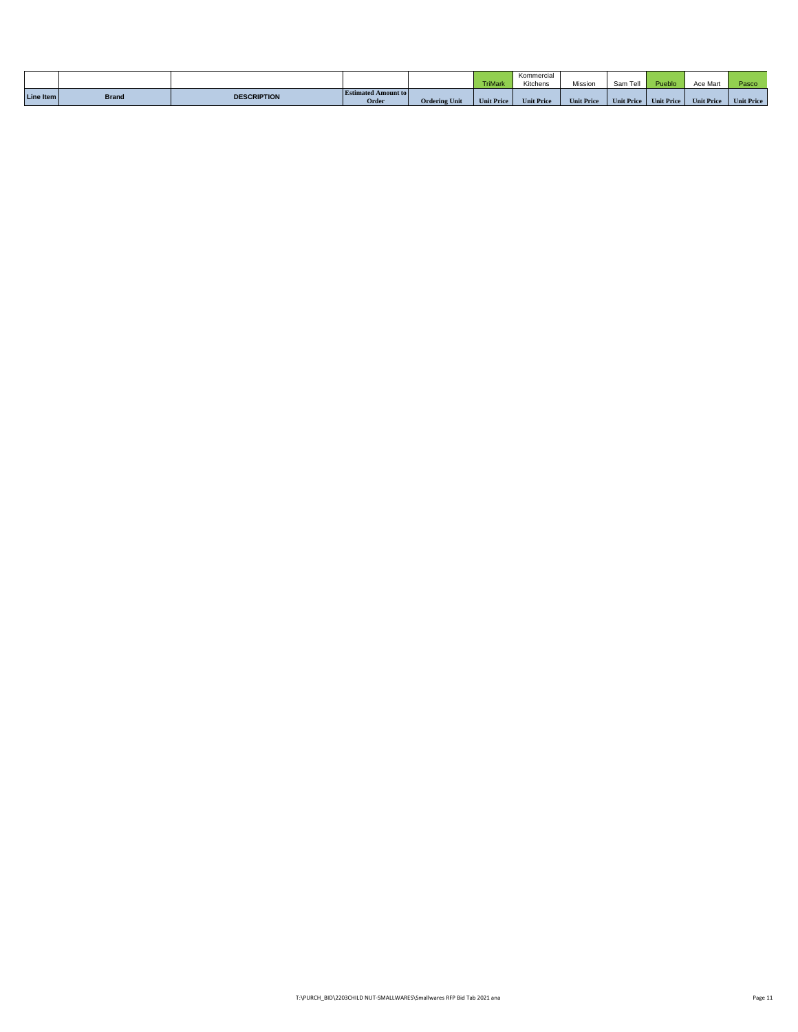|           |              |                    |                                     |                      | <b>TriMark</b>    | Kommercial<br>Kitchens | Mission           | Sam Tell          | Pueblo            | Ace Mart          | Pasco.            |
|-----------|--------------|--------------------|-------------------------------------|----------------------|-------------------|------------------------|-------------------|-------------------|-------------------|-------------------|-------------------|
| Line Item | <b>Brand</b> | <b>DESCRIPTION</b> | <b>Estimated Amount to</b><br>Order | <b>Ordering Unit</b> | <b>Unit Price</b> | <b>Unit Price</b>      | <b>Unit Price</b> | <b>Unit Price</b> | <b>Unit Price</b> | <b>Unit Price</b> | <b>Unit Price</b> |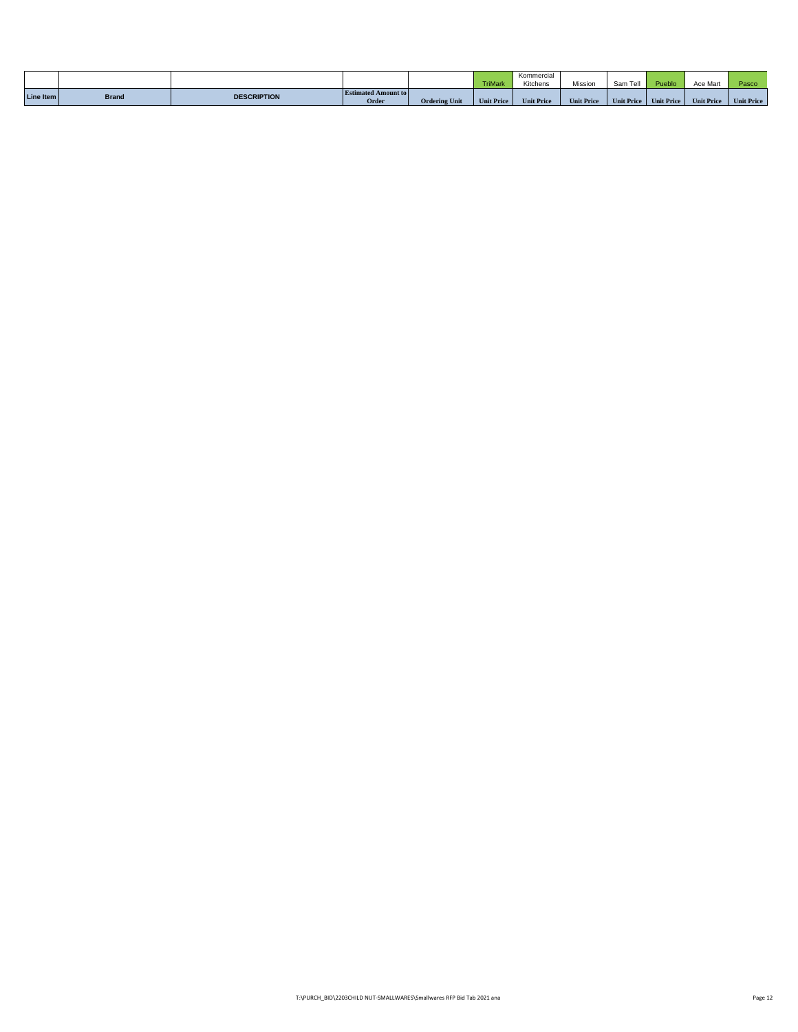|           |              |                    |                                     |                      | <b>TriMark</b>    | Kommercial<br>Kitchens | Mission           | Sam Tell          | Pueblo            | Ace Mart          | Pasco.            |
|-----------|--------------|--------------------|-------------------------------------|----------------------|-------------------|------------------------|-------------------|-------------------|-------------------|-------------------|-------------------|
| Line Item | <b>Brand</b> | <b>DESCRIPTION</b> | <b>Estimated Amount to</b><br>Order | <b>Ordering Unit</b> | <b>Unit Price</b> | <b>Unit Price</b>      | <b>Unit Price</b> | <b>Unit Price</b> | <b>Unit Price</b> | <b>Unit Price</b> | <b>Unit Price</b> |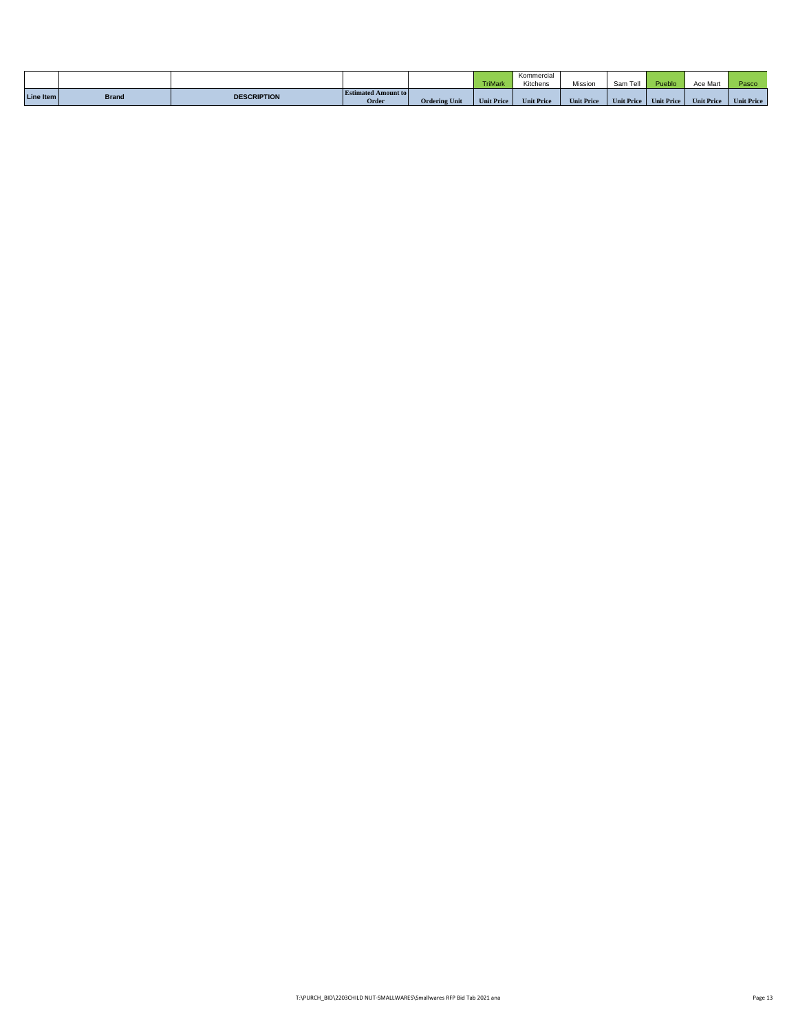|           |              |                    |                                     |                      | <b>TriMark</b>    | Kommercial<br>Kitchens | Mission           | Sam Tell          | Pueblo            | Ace Mart          | Pasco.            |
|-----------|--------------|--------------------|-------------------------------------|----------------------|-------------------|------------------------|-------------------|-------------------|-------------------|-------------------|-------------------|
| Line Item | <b>Brand</b> | <b>DESCRIPTION</b> | <b>Estimated Amount to</b><br>Order | <b>Ordering Unit</b> | <b>Unit Price</b> | <b>Unit Price</b>      | <b>Unit Price</b> | <b>Unit Price</b> | <b>Unit Price</b> | <b>Unit Price</b> | <b>Unit Price</b> |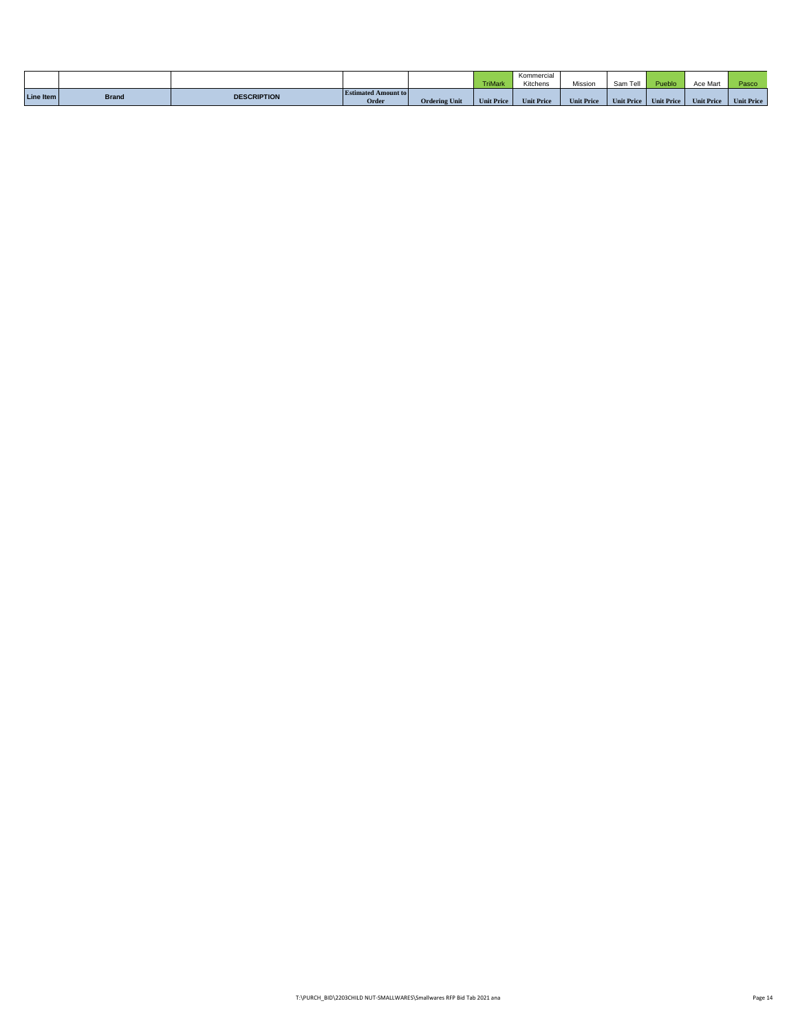|           |              |                    |                                     |                      | <b>TriMark</b>    | Kommercial<br>Kitchens | Mission           | Sam Tell          | Pueblo            | Ace Mart          | Pasco.            |
|-----------|--------------|--------------------|-------------------------------------|----------------------|-------------------|------------------------|-------------------|-------------------|-------------------|-------------------|-------------------|
| Line Item | <b>Brand</b> | <b>DESCRIPTION</b> | <b>Estimated Amount to</b><br>Order | <b>Ordering Unit</b> | <b>Unit Price</b> | <b>Unit Price</b>      | <b>Unit Price</b> | <b>Unit Price</b> | <b>Unit Price</b> | <b>Unit Price</b> | <b>Unit Price</b> |